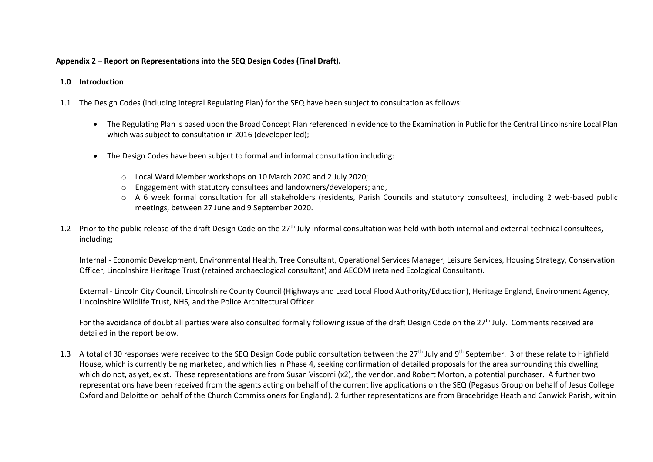## **Appendix 2 – Report on Representations into the SEQ Design Codes (Final Draft).**

## **1.0 Introduction**

- 1.1 The Design Codes (including integral Regulating Plan) for the SEQ have been subject to consultation as follows:
	- The Regulating Plan is based upon the Broad Concept Plan referenced in evidence to the Examination in Public for the Central Lincolnshire Local Plan which was subject to consultation in 2016 (developer led);
	- The Design Codes have been subject to formal and informal consultation including:
		- o Local Ward Member workshops on 10 March 2020 and 2 July 2020;
		- o Engagement with statutory consultees and landowners/developers; and,
		- o A 6 week formal consultation for all stakeholders (residents, Parish Councils and statutory consultees), including 2 web-based public meetings, between 27 June and 9 September 2020.
- 1.2 Prior to the public release of the draft Design Code on the 27<sup>th</sup> July informal consultation was held with both internal and external technical consultees, including;

Internal - Economic Development, Environmental Health, Tree Consultant, Operational Services Manager, Leisure Services, Housing Strategy, Conservation Officer, Lincolnshire Heritage Trust (retained archaeological consultant) and AECOM (retained Ecological Consultant).

External - Lincoln City Council, Lincolnshire County Council (Highways and Lead Local Flood Authority/Education), Heritage England, Environment Agency, Lincolnshire Wildlife Trust, NHS, and the Police Architectural Officer.

For the avoidance of doubt all parties were also consulted formally following issue of the draft Design Code on the 27<sup>th</sup> July. Comments received are detailed in the report below.

1.3 A total of 30 responses were received to the SEQ Design Code public consultation between the 27<sup>th</sup> July and 9<sup>th</sup> September. 3 of these relate to Highfield House, which is currently being marketed, and which lies in Phase 4, seeking confirmation of detailed proposals for the area surrounding this dwelling which do not, as yet, exist. These representations are from Susan Viscomi (x2), the vendor, and Robert Morton, a potential purchaser. A further two representations have been received from the agents acting on behalf of the current live applications on the SEQ (Pegasus Group on behalf of Jesus College Oxford and Deloitte on behalf of the Church Commissioners for England). 2 further representations are from Bracebridge Heath and Canwick Parish, within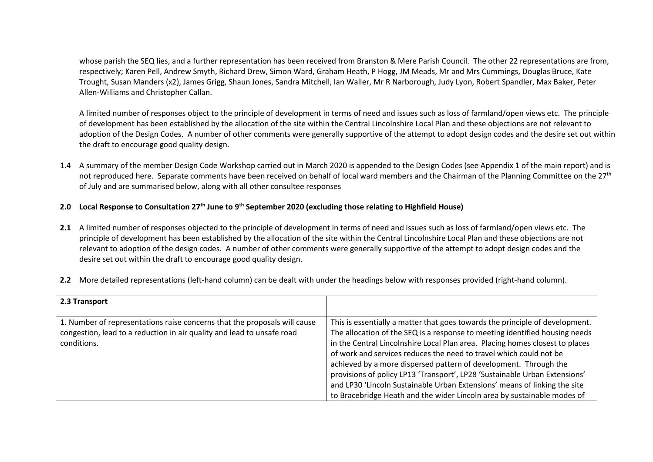whose parish the SEQ lies, and a further representation has been received from Branston & Mere Parish Council. The other 22 representations are from, respectively; Karen Pell, Andrew Smyth, Richard Drew, Simon Ward, Graham Heath, P Hogg, JM Meads, Mr and Mrs Cummings, Douglas Bruce, Kate Trought, Susan Manders (x2), James Grigg, Shaun Jones, Sandra Mitchell, Ian Waller, Mr R Narborough, Judy Lyon, Robert Spandler, Max Baker, Peter Allen-Williams and Christopher Callan.

A limited number of responses object to the principle of development in terms of need and issues such as loss of farmland/open views etc. The principle of development has been established by the allocation of the site within the Central Lincolnshire Local Plan and these objections are not relevant to adoption of the Design Codes. A number of other comments were generally supportive of the attempt to adopt design codes and the desire set out within the draft to encourage good quality design.

1.4 A summary of the member Design Code Workshop carried out in March 2020 is appended to the Design Codes (see Appendix 1 of the main report) and is not reproduced here. Separate comments have been received on behalf of local ward members and the Chairman of the Planning Committee on the 27<sup>th</sup> of July and are summarised below, along with all other consultee responses

## **2.0 Local Response to Consultation 27th June to 9th September 2020 (excluding those relating to Highfield House)**

**2.1** A limited number of responses objected to the principle of development in terms of need and issues such as loss of farmland/open views etc. The principle of development has been established by the allocation of the site within the Central Lincolnshire Local Plan and these objections are not relevant to adoption of the design codes. A number of other comments were generally supportive of the attempt to adopt design codes and the desire set out within the draft to encourage good quality design.

| 2.3 Transport                                                             |                                                                              |
|---------------------------------------------------------------------------|------------------------------------------------------------------------------|
|                                                                           |                                                                              |
| 1. Number of representations raise concerns that the proposals will cause | This is essentially a matter that goes towards the principle of development. |
| congestion, lead to a reduction in air quality and lead to unsafe road    | The allocation of the SEQ is a response to meeting identified housing needs  |
| conditions.                                                               | in the Central Lincolnshire Local Plan area. Placing homes closest to places |
|                                                                           | of work and services reduces the need to travel which could not be           |

achieved by a more dispersed pattern of development. Through the provisions of policy LP13 'Transport', LP28 'Sustainable Urban Extensions' and LP30 'Lincoln Sustainable Urban Extensions' means of linking the site to Bracebridge Heath and the wider Lincoln area by sustainable modes of

**2.2** More detailed representations (left-hand column) can be dealt with under the headings below with responses provided (right-hand column).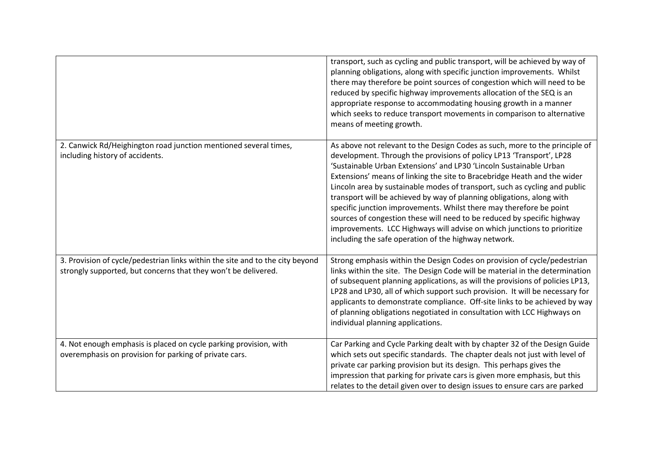|                                                                                                                                                 | transport, such as cycling and public transport, will be achieved by way of<br>planning obligations, along with specific junction improvements. Whilst<br>there may therefore be point sources of congestion which will need to be<br>reduced by specific highway improvements allocation of the SEQ is an<br>appropriate response to accommodating housing growth in a manner<br>which seeks to reduce transport movements in comparison to alternative<br>means of meeting growth.                                                                                                                                                                                                                                                              |
|-------------------------------------------------------------------------------------------------------------------------------------------------|---------------------------------------------------------------------------------------------------------------------------------------------------------------------------------------------------------------------------------------------------------------------------------------------------------------------------------------------------------------------------------------------------------------------------------------------------------------------------------------------------------------------------------------------------------------------------------------------------------------------------------------------------------------------------------------------------------------------------------------------------|
| 2. Canwick Rd/Heighington road junction mentioned several times,<br>including history of accidents.                                             | As above not relevant to the Design Codes as such, more to the principle of<br>development. Through the provisions of policy LP13 'Transport', LP28<br>'Sustainable Urban Extensions' and LP30 'Lincoln Sustainable Urban<br>Extensions' means of linking the site to Bracebridge Heath and the wider<br>Lincoln area by sustainable modes of transport, such as cycling and public<br>transport will be achieved by way of planning obligations, along with<br>specific junction improvements. Whilst there may therefore be point<br>sources of congestion these will need to be reduced by specific highway<br>improvements. LCC Highways will advise on which junctions to prioritize<br>including the safe operation of the highway network. |
| 3. Provision of cycle/pedestrian links within the site and to the city beyond<br>strongly supported, but concerns that they won't be delivered. | Strong emphasis within the Design Codes on provision of cycle/pedestrian<br>links within the site. The Design Code will be material in the determination<br>of subsequent planning applications, as will the provisions of policies LP13,<br>LP28 and LP30, all of which support such provision. It will be necessary for<br>applicants to demonstrate compliance. Off-site links to be achieved by way<br>of planning obligations negotiated in consultation with LCC Highways on<br>individual planning applications.                                                                                                                                                                                                                           |
| 4. Not enough emphasis is placed on cycle parking provision, with<br>overemphasis on provision for parking of private cars.                     | Car Parking and Cycle Parking dealt with by chapter 32 of the Design Guide<br>which sets out specific standards. The chapter deals not just with level of<br>private car parking provision but its design. This perhaps gives the<br>impression that parking for private cars is given more emphasis, but this<br>relates to the detail given over to design issues to ensure cars are parked                                                                                                                                                                                                                                                                                                                                                     |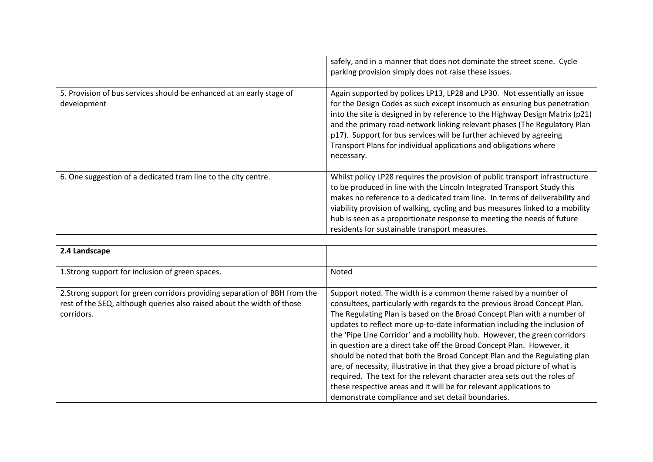|                                                                                     | safely, and in a manner that does not dominate the street scene. Cycle<br>parking provision simply does not raise these issues.                                                                                                                                                                                                                                                                                                                                             |
|-------------------------------------------------------------------------------------|-----------------------------------------------------------------------------------------------------------------------------------------------------------------------------------------------------------------------------------------------------------------------------------------------------------------------------------------------------------------------------------------------------------------------------------------------------------------------------|
| 5. Provision of bus services should be enhanced at an early stage of<br>development | Again supported by polices LP13, LP28 and LP30. Not essentially an issue<br>for the Design Codes as such except insomuch as ensuring bus penetration<br>into the site is designed in by reference to the Highway Design Matrix (p21)<br>and the primary road network linking relevant phases (The Regulatory Plan<br>p17). Support for bus services will be further achieved by agreeing<br>Transport Plans for individual applications and obligations where<br>necessary. |
| 6. One suggestion of a dedicated tram line to the city centre.                      | Whilst policy LP28 requires the provision of public transport infrastructure<br>to be produced in line with the Lincoln Integrated Transport Study this<br>makes no reference to a dedicated tram line. In terms of deliverability and<br>viability provision of walking, cycling and bus measures linked to a mobility<br>hub is seen as a proportionate response to meeting the needs of future<br>residents for sustainable transport measures.                          |

| 2.4 Landscape                                                                                                                                                      |                                                                                                                                                                                                                                                                                                                                                                                                                                                                                                                                                                                                                                                                                                                                                                                                                                |
|--------------------------------------------------------------------------------------------------------------------------------------------------------------------|--------------------------------------------------------------------------------------------------------------------------------------------------------------------------------------------------------------------------------------------------------------------------------------------------------------------------------------------------------------------------------------------------------------------------------------------------------------------------------------------------------------------------------------------------------------------------------------------------------------------------------------------------------------------------------------------------------------------------------------------------------------------------------------------------------------------------------|
| 1. Strong support for inclusion of green spaces.                                                                                                                   | Noted                                                                                                                                                                                                                                                                                                                                                                                                                                                                                                                                                                                                                                                                                                                                                                                                                          |
| 2. Strong support for green corridors providing separation of BBH from the<br>rest of the SEQ, although queries also raised about the width of those<br>corridors. | Support noted. The width is a common theme raised by a number of<br>consultees, particularly with regards to the previous Broad Concept Plan.<br>The Regulating Plan is based on the Broad Concept Plan with a number of<br>updates to reflect more up-to-date information including the inclusion of<br>the 'Pipe Line Corridor' and a mobility hub. However, the green corridors<br>in question are a direct take off the Broad Concept Plan. However, it<br>should be noted that both the Broad Concept Plan and the Regulating plan<br>are, of necessity, illustrative in that they give a broad picture of what is<br>required. The text for the relevant character area sets out the roles of<br>these respective areas and it will be for relevant applications to<br>demonstrate compliance and set detail boundaries. |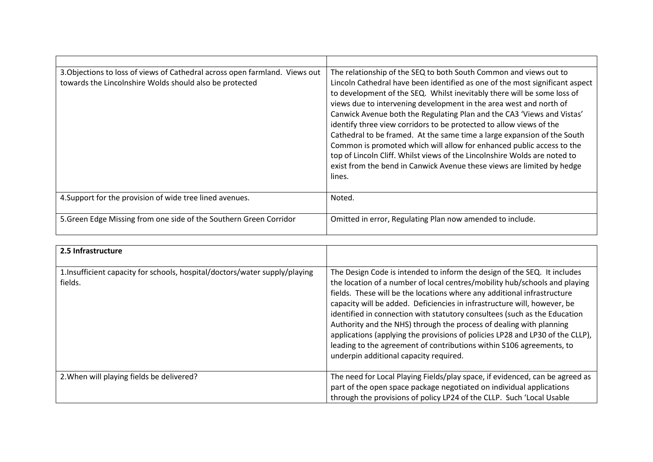| 3. Objections to loss of views of Cathedral across open farmland. Views out<br>towards the Lincolnshire Wolds should also be protected | The relationship of the SEQ to both South Common and views out to<br>Lincoln Cathedral have been identified as one of the most significant aspect<br>to development of the SEQ. Whilst inevitably there will be some loss of<br>views due to intervening development in the area west and north of<br>Canwick Avenue both the Regulating Plan and the CA3 'Views and Vistas'<br>identify three view corridors to be protected to allow views of the<br>Cathedral to be framed. At the same time a large expansion of the South<br>Common is promoted which will allow for enhanced public access to the<br>top of Lincoln Cliff. Whilst views of the Lincolnshire Wolds are noted to<br>exist from the bend in Canwick Avenue these views are limited by hedge<br>lines. |
|----------------------------------------------------------------------------------------------------------------------------------------|--------------------------------------------------------------------------------------------------------------------------------------------------------------------------------------------------------------------------------------------------------------------------------------------------------------------------------------------------------------------------------------------------------------------------------------------------------------------------------------------------------------------------------------------------------------------------------------------------------------------------------------------------------------------------------------------------------------------------------------------------------------------------|
| 4. Support for the provision of wide tree lined avenues.                                                                               | Noted.                                                                                                                                                                                                                                                                                                                                                                                                                                                                                                                                                                                                                                                                                                                                                                   |
| 5. Green Edge Missing from one side of the Southern Green Corridor                                                                     | Omitted in error, Regulating Plan now amended to include.                                                                                                                                                                                                                                                                                                                                                                                                                                                                                                                                                                                                                                                                                                                |

| 2.5 Infrastructure                                                                    |                                                                                                                                                                                                                                                                                                                                                                                                                                                                                                                                                                                                                                                                      |
|---------------------------------------------------------------------------------------|----------------------------------------------------------------------------------------------------------------------------------------------------------------------------------------------------------------------------------------------------------------------------------------------------------------------------------------------------------------------------------------------------------------------------------------------------------------------------------------------------------------------------------------------------------------------------------------------------------------------------------------------------------------------|
| 1.Insufficient capacity for schools, hospital/doctors/water supply/playing<br>fields. | The Design Code is intended to inform the design of the SEQ. It includes<br>the location of a number of local centres/mobility hub/schools and playing<br>fields. These will be the locations where any additional infrastructure<br>capacity will be added. Deficiencies in infrastructure will, however, be<br>identified in connection with statutory consultees (such as the Education<br>Authority and the NHS) through the process of dealing with planning<br>applications (applying the provisions of policies LP28 and LP30 of the CLLP),<br>leading to the agreement of contributions within S106 agreements, to<br>underpin additional capacity required. |
| 2. When will playing fields be delivered?                                             | The need for Local Playing Fields/play space, if evidenced, can be agreed as<br>part of the open space package negotiated on individual applications<br>through the provisions of policy LP24 of the CLLP. Such 'Local Usable                                                                                                                                                                                                                                                                                                                                                                                                                                        |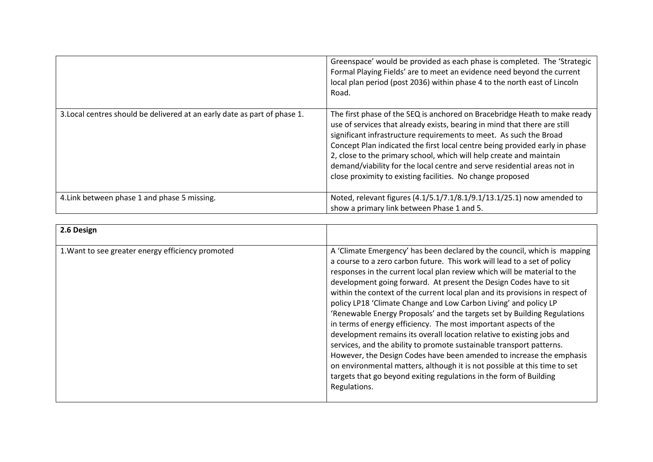|                                                                           | Greenspace' would be provided as each phase is completed. The 'Strategic<br>Formal Playing Fields' are to meet an evidence need beyond the current<br>local plan period (post 2036) within phase 4 to the north east of Lincoln<br>Road.                                                                                                                                                                                                                                                                                     |
|---------------------------------------------------------------------------|------------------------------------------------------------------------------------------------------------------------------------------------------------------------------------------------------------------------------------------------------------------------------------------------------------------------------------------------------------------------------------------------------------------------------------------------------------------------------------------------------------------------------|
| 3. Local centres should be delivered at an early date as part of phase 1. | The first phase of the SEQ is anchored on Bracebridge Heath to make ready<br>use of services that already exists, bearing in mind that there are still<br>significant infrastructure requirements to meet. As such the Broad<br>Concept Plan indicated the first local centre being provided early in phase<br>2, close to the primary school, which will help create and maintain<br>demand/viability for the local centre and serve residential areas not in<br>close proximity to existing facilities. No change proposed |
| 4. Link between phase 1 and phase 5 missing.                              | Noted, relevant figures (4.1/5.1/7.1/8.1/9.1/13.1/25.1) now amended to<br>show a primary link between Phase 1 and 5.                                                                                                                                                                                                                                                                                                                                                                                                         |

| 2.6 Design                                        |                                                                                                                                                                                                                                                                                                                                                                                                                                                                                                                                                                                                                                                                                                                                                                                                                                                                                                                                                                                                          |
|---------------------------------------------------|----------------------------------------------------------------------------------------------------------------------------------------------------------------------------------------------------------------------------------------------------------------------------------------------------------------------------------------------------------------------------------------------------------------------------------------------------------------------------------------------------------------------------------------------------------------------------------------------------------------------------------------------------------------------------------------------------------------------------------------------------------------------------------------------------------------------------------------------------------------------------------------------------------------------------------------------------------------------------------------------------------|
| 1. Want to see greater energy efficiency promoted | A 'Climate Emergency' has been declared by the council, which is mapping<br>a course to a zero carbon future. This work will lead to a set of policy<br>responses in the current local plan review which will be material to the<br>development going forward. At present the Design Codes have to sit<br>within the context of the current local plan and its provisions in respect of<br>policy LP18 'Climate Change and Low Carbon Living' and policy LP<br>'Renewable Energy Proposals' and the targets set by Building Regulations<br>in terms of energy efficiency. The most important aspects of the<br>development remains its overall location relative to existing jobs and<br>services, and the ability to promote sustainable transport patterns.<br>However, the Design Codes have been amended to increase the emphasis<br>on environmental matters, although it is not possible at this time to set<br>targets that go beyond exiting regulations in the form of Building<br>Regulations. |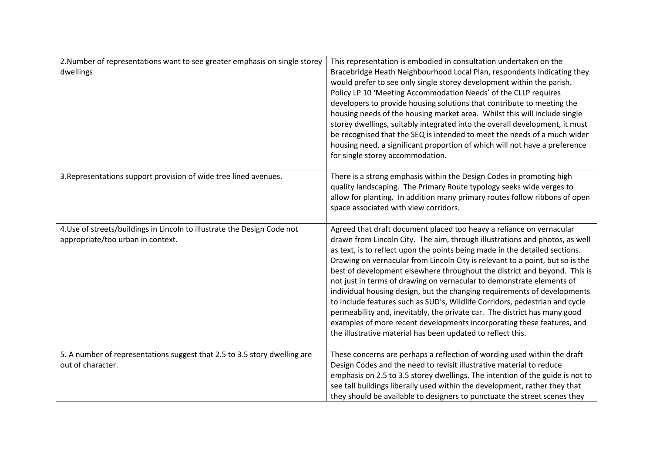| 2. Number of representations want to see greater emphasis on single storey<br>dwellings                       | This representation is embodied in consultation undertaken on the<br>Bracebridge Heath Neighbourhood Local Plan, respondents indicating they<br>would prefer to see only single storey development within the parish.<br>Policy LP 10 'Meeting Accommodation Needs' of the CLLP requires<br>developers to provide housing solutions that contribute to meeting the<br>housing needs of the housing market area. Whilst this will include single<br>storey dwellings, suitably integrated into the overall development, it must<br>be recognised that the SEQ is intended to meet the needs of a much wider<br>housing need, a significant proportion of which will not have a preference<br>for single storey accommodation.                                                                                                                               |
|---------------------------------------------------------------------------------------------------------------|------------------------------------------------------------------------------------------------------------------------------------------------------------------------------------------------------------------------------------------------------------------------------------------------------------------------------------------------------------------------------------------------------------------------------------------------------------------------------------------------------------------------------------------------------------------------------------------------------------------------------------------------------------------------------------------------------------------------------------------------------------------------------------------------------------------------------------------------------------|
| 3. Representations support provision of wide tree lined avenues.                                              | There is a strong emphasis within the Design Codes in promoting high<br>quality landscaping. The Primary Route typology seeks wide verges to<br>allow for planting. In addition many primary routes follow ribbons of open<br>space associated with view corridors.                                                                                                                                                                                                                                                                                                                                                                                                                                                                                                                                                                                        |
| 4. Use of streets/buildings in Lincoln to illustrate the Design Code not<br>appropriate/too urban in context. | Agreed that draft document placed too heavy a reliance on vernacular<br>drawn from Lincoln City. The aim, through illustrations and photos, as well<br>as text, is to reflect upon the points being made in the detailed sections.<br>Drawing on vernacular from Lincoln City is relevant to a point, but so is the<br>best of development elsewhere throughout the district and beyond. This is<br>not just in terms of drawing on vernacular to demonstrate elements of<br>individual housing design, but the changing requirements of developments<br>to include features such as SUD's, Wildlife Corridors, pedestrian and cycle<br>permeability and, inevitably, the private car. The district has many good<br>examples of more recent developments incorporating these features, and<br>the illustrative material has been updated to reflect this. |
| 5. A number of representations suggest that 2.5 to 3.5 story dwelling are<br>out of character.                | These concerns are perhaps a reflection of wording used within the draft<br>Design Codes and the need to revisit illustrative material to reduce<br>emphasis on 2.5 to 3.5 storey dwellings. The intention of the guide is not to<br>see tall buildings liberally used within the development, rather they that<br>they should be available to designers to punctuate the street scenes they                                                                                                                                                                                                                                                                                                                                                                                                                                                               |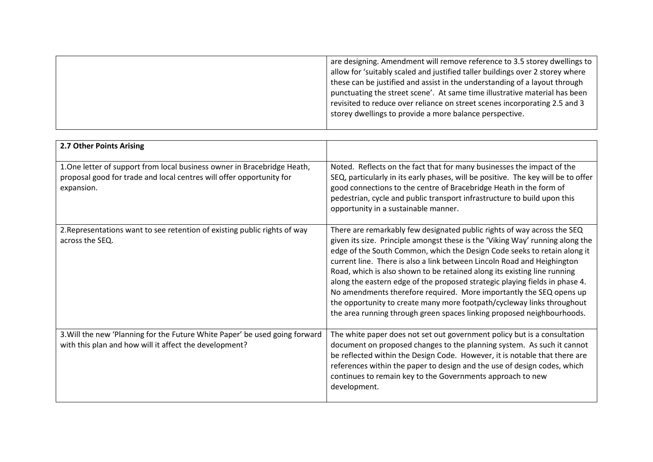| are designing. Amendment will remove reference to 3.5 storey dwellings to     |
|-------------------------------------------------------------------------------|
| allow for 'suitably scaled and justified taller buildings over 2 storey where |
| these can be justified and assist in the understanding of a layout through    |
| punctuating the street scene'. At same time illustrative material has been    |
| revisited to reduce over reliance on street scenes incorporating 2.5 and 3    |
| storey dwellings to provide a more balance perspective.                       |
|                                                                               |

| 2.7 Other Points Arising                                                                                                                                       |                                                                                                                                                                                                                                                                                                                                                                                                                                                                                                                                                                                                                                                                                                       |
|----------------------------------------------------------------------------------------------------------------------------------------------------------------|-------------------------------------------------------------------------------------------------------------------------------------------------------------------------------------------------------------------------------------------------------------------------------------------------------------------------------------------------------------------------------------------------------------------------------------------------------------------------------------------------------------------------------------------------------------------------------------------------------------------------------------------------------------------------------------------------------|
| 1. One letter of support from local business owner in Bracebridge Heath,<br>proposal good for trade and local centres will offer opportunity for<br>expansion. | Noted. Reflects on the fact that for many businesses the impact of the<br>SEQ, particularly in its early phases, will be positive. The key will be to offer<br>good connections to the centre of Bracebridge Heath in the form of<br>pedestrian, cycle and public transport infrastructure to build upon this<br>opportunity in a sustainable manner.                                                                                                                                                                                                                                                                                                                                                 |
| 2. Representations want to see retention of existing public rights of way<br>across the SEQ.                                                                   | There are remarkably few designated public rights of way across the SEQ<br>given its size. Principle amongst these is the 'Viking Way' running along the<br>edge of the South Common, which the Design Code seeks to retain along it<br>current line. There is also a link between Lincoln Road and Heighington<br>Road, which is also shown to be retained along its existing line running<br>along the eastern edge of the proposed strategic playing fields in phase 4.<br>No amendments therefore required. More importantly the SEQ opens up<br>the opportunity to create many more footpath/cycleway links throughout<br>the area running through green spaces linking proposed neighbourhoods. |
| 3. Will the new 'Planning for the Future White Paper' be used going forward<br>with this plan and how will it affect the development?                          | The white paper does not set out government policy but is a consultation<br>document on proposed changes to the planning system. As such it cannot<br>be reflected within the Design Code. However, it is notable that there are<br>references within the paper to design and the use of design codes, which<br>continues to remain key to the Governments approach to new<br>development.                                                                                                                                                                                                                                                                                                            |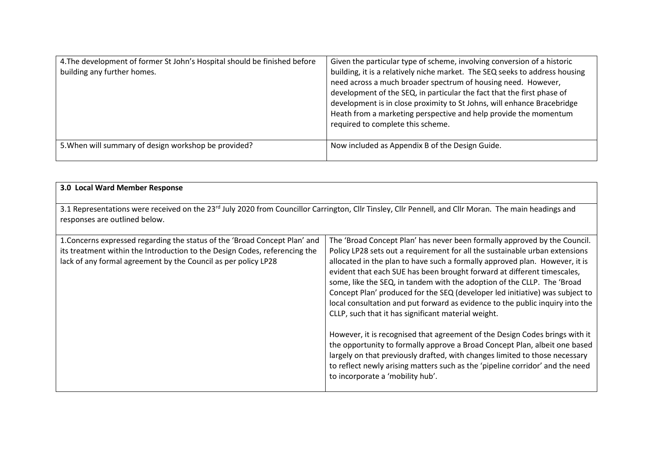| 4. The development of former St John's Hospital should be finished before<br>building any further homes. | Given the particular type of scheme, involving conversion of a historic<br>building, it is a relatively niche market. The SEQ seeks to address housing<br>need across a much broader spectrum of housing need. However,<br>development of the SEQ, in particular the fact that the first phase of<br>development is in close proximity to St Johns, will enhance Bracebridge<br>Heath from a marketing perspective and help provide the momentum<br>required to complete this scheme. |
|----------------------------------------------------------------------------------------------------------|---------------------------------------------------------------------------------------------------------------------------------------------------------------------------------------------------------------------------------------------------------------------------------------------------------------------------------------------------------------------------------------------------------------------------------------------------------------------------------------|
| 5. When will summary of design workshop be provided?                                                     | Now included as Appendix B of the Design Guide.                                                                                                                                                                                                                                                                                                                                                                                                                                       |

| 3.0 Local Ward Member Response                                                                                                                                                                                             |                                                                                                                                                                                                                                                                                                                                                                                                                                                                                                                                                                                                                                                                                                                                                                                                                                                                                                                                                                                        |
|----------------------------------------------------------------------------------------------------------------------------------------------------------------------------------------------------------------------------|----------------------------------------------------------------------------------------------------------------------------------------------------------------------------------------------------------------------------------------------------------------------------------------------------------------------------------------------------------------------------------------------------------------------------------------------------------------------------------------------------------------------------------------------------------------------------------------------------------------------------------------------------------------------------------------------------------------------------------------------------------------------------------------------------------------------------------------------------------------------------------------------------------------------------------------------------------------------------------------|
| 3.1 Representations were received on the 23 <sup>rd</sup> July 2020 from Councillor Carrington, Cllr Tinsley, Cllr Pennell, and Cllr Moran. The main headings and<br>responses are outlined below.                         |                                                                                                                                                                                                                                                                                                                                                                                                                                                                                                                                                                                                                                                                                                                                                                                                                                                                                                                                                                                        |
| 1. Concerns expressed regarding the status of the 'Broad Concept Plan' and<br>its treatment within the Introduction to the Design Codes, referencing the<br>lack of any formal agreement by the Council as per policy LP28 | The 'Broad Concept Plan' has never been formally approved by the Council.<br>Policy LP28 sets out a requirement for all the sustainable urban extensions<br>allocated in the plan to have such a formally approved plan. However, it is<br>evident that each SUE has been brought forward at different timescales,<br>some, like the SEQ, in tandem with the adoption of the CLLP. The 'Broad<br>Concept Plan' produced for the SEQ (developer led initiative) was subject to<br>local consultation and put forward as evidence to the public inquiry into the<br>CLLP, such that it has significant material weight.<br>However, it is recognised that agreement of the Design Codes brings with it<br>the opportunity to formally approve a Broad Concept Plan, albeit one based<br>largely on that previously drafted, with changes limited to those necessary<br>to reflect newly arising matters such as the 'pipeline corridor' and the need<br>to incorporate a 'mobility hub'. |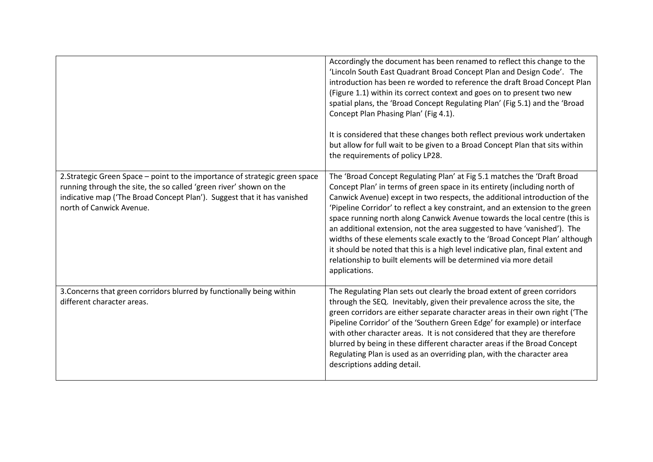|                                                                                                                                                                                                                                                          | Accordingly the document has been renamed to reflect this change to the<br>'Lincoln South East Quadrant Broad Concept Plan and Design Code'. The<br>introduction has been re worded to reference the draft Broad Concept Plan<br>(Figure 1.1) within its correct context and goes on to present two new<br>spatial plans, the 'Broad Concept Regulating Plan' (Fig 5.1) and the 'Broad<br>Concept Plan Phasing Plan' (Fig 4.1).<br>It is considered that these changes both reflect previous work undertaken<br>but allow for full wait to be given to a Broad Concept Plan that sits within<br>the requirements of policy LP28.                                                                                                      |
|----------------------------------------------------------------------------------------------------------------------------------------------------------------------------------------------------------------------------------------------------------|---------------------------------------------------------------------------------------------------------------------------------------------------------------------------------------------------------------------------------------------------------------------------------------------------------------------------------------------------------------------------------------------------------------------------------------------------------------------------------------------------------------------------------------------------------------------------------------------------------------------------------------------------------------------------------------------------------------------------------------|
| 2. Strategic Green Space - point to the importance of strategic green space<br>running through the site, the so called 'green river' shown on the<br>indicative map ('The Broad Concept Plan'). Suggest that it has vanished<br>north of Canwick Avenue. | The 'Broad Concept Regulating Plan' at Fig 5.1 matches the 'Draft Broad<br>Concept Plan' in terms of green space in its entirety (including north of<br>Canwick Avenue) except in two respects, the additional introduction of the<br>'Pipeline Corridor' to reflect a key constraint, and an extension to the green<br>space running north along Canwick Avenue towards the local centre (this is<br>an additional extension, not the area suggested to have 'vanished'). The<br>widths of these elements scale exactly to the 'Broad Concept Plan' although<br>it should be noted that this is a high level indicative plan, final extent and<br>relationship to built elements will be determined via more detail<br>applications. |
| 3. Concerns that green corridors blurred by functionally being within<br>different character areas.                                                                                                                                                      | The Regulating Plan sets out clearly the broad extent of green corridors<br>through the SEQ. Inevitably, given their prevalence across the site, the<br>green corridors are either separate character areas in their own right ('The<br>Pipeline Corridor' of the 'Southern Green Edge' for example) or interface<br>with other character areas. It is not considered that they are therefore<br>blurred by being in these different character areas if the Broad Concept<br>Regulating Plan is used as an overriding plan, with the character area<br>descriptions adding detail.                                                                                                                                                    |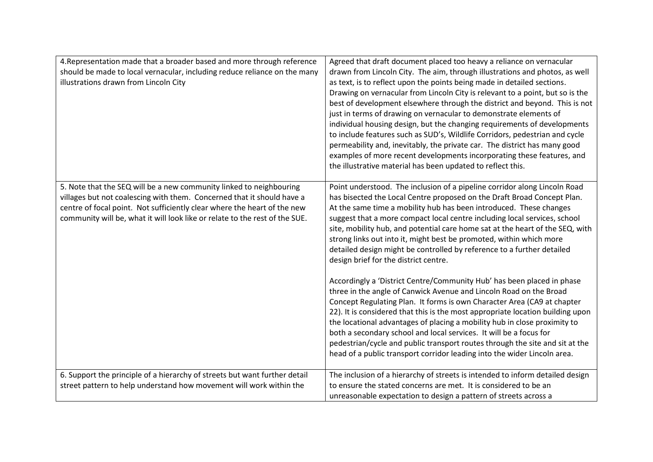| 4. Representation made that a broader based and more through reference<br>should be made to local vernacular, including reduce reliance on the many<br>illustrations drawn from Lincoln City                                                                                                             | Agreed that draft document placed too heavy a reliance on vernacular<br>drawn from Lincoln City. The aim, through illustrations and photos, as well<br>as text, is to reflect upon the points being made in detailed sections.<br>Drawing on vernacular from Lincoln City is relevant to a point, but so is the<br>best of development elsewhere through the district and beyond. This is not<br>just in terms of drawing on vernacular to demonstrate elements of<br>individual housing design, but the changing requirements of developments<br>to include features such as SUD's, Wildlife Corridors, pedestrian and cycle<br>permeability and, inevitably, the private car. The district has many good<br>examples of more recent developments incorporating these features, and<br>the illustrative material has been updated to reflect this. |
|----------------------------------------------------------------------------------------------------------------------------------------------------------------------------------------------------------------------------------------------------------------------------------------------------------|-----------------------------------------------------------------------------------------------------------------------------------------------------------------------------------------------------------------------------------------------------------------------------------------------------------------------------------------------------------------------------------------------------------------------------------------------------------------------------------------------------------------------------------------------------------------------------------------------------------------------------------------------------------------------------------------------------------------------------------------------------------------------------------------------------------------------------------------------------|
| 5. Note that the SEQ will be a new community linked to neighbouring<br>villages but not coalescing with them. Concerned that it should have a<br>centre of focal point. Not sufficiently clear where the heart of the new<br>community will be, what it will look like or relate to the rest of the SUE. | Point understood. The inclusion of a pipeline corridor along Lincoln Road<br>has bisected the Local Centre proposed on the Draft Broad Concept Plan.<br>At the same time a mobility hub has been introduced. These changes<br>suggest that a more compact local centre including local services, school<br>site, mobility hub, and potential care home sat at the heart of the SEQ, with<br>strong links out into it, might best be promoted, within which more<br>detailed design might be controlled by reference to a further detailed<br>design brief for the district centre.                                                                                                                                                                                                                                                                  |
|                                                                                                                                                                                                                                                                                                          | Accordingly a 'District Centre/Community Hub' has been placed in phase<br>three in the angle of Canwick Avenue and Lincoln Road on the Broad<br>Concept Regulating Plan. It forms is own Character Area (CA9 at chapter<br>22). It is considered that this is the most appropriate location building upon<br>the locational advantages of placing a mobility hub in close proximity to<br>both a secondary school and local services. It will be a focus for<br>pedestrian/cycle and public transport routes through the site and sit at the<br>head of a public transport corridor leading into the wider Lincoln area.                                                                                                                                                                                                                            |
| 6. Support the principle of a hierarchy of streets but want further detail<br>street pattern to help understand how movement will work within the                                                                                                                                                        | The inclusion of a hierarchy of streets is intended to inform detailed design<br>to ensure the stated concerns are met. It is considered to be an<br>unreasonable expectation to design a pattern of streets across a                                                                                                                                                                                                                                                                                                                                                                                                                                                                                                                                                                                                                               |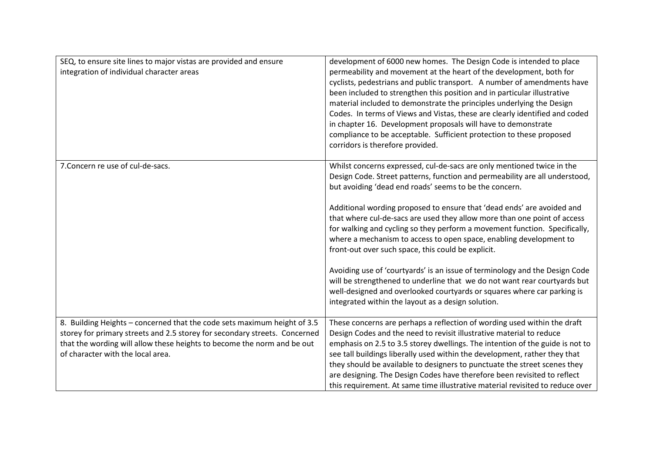| SEQ, to ensure site lines to major vistas are provided and ensure<br>integration of individual character areas                                                                                                                                                         | development of 6000 new homes. The Design Code is intended to place<br>permeability and movement at the heart of the development, both for<br>cyclists, pedestrians and public transport. A number of amendments have<br>been included to strengthen this position and in particular illustrative<br>material included to demonstrate the principles underlying the Design<br>Codes. In terms of Views and Vistas, these are clearly identified and coded<br>in chapter 16. Development proposals will have to demonstrate<br>compliance to be acceptable. Sufficient protection to these proposed<br>corridors is therefore provided.                                                                                                                                                                                                                                       |
|------------------------------------------------------------------------------------------------------------------------------------------------------------------------------------------------------------------------------------------------------------------------|------------------------------------------------------------------------------------------------------------------------------------------------------------------------------------------------------------------------------------------------------------------------------------------------------------------------------------------------------------------------------------------------------------------------------------------------------------------------------------------------------------------------------------------------------------------------------------------------------------------------------------------------------------------------------------------------------------------------------------------------------------------------------------------------------------------------------------------------------------------------------|
| 7. Concern re use of cul-de-sacs.                                                                                                                                                                                                                                      | Whilst concerns expressed, cul-de-sacs are only mentioned twice in the<br>Design Code. Street patterns, function and permeability are all understood,<br>but avoiding 'dead end roads' seems to be the concern.<br>Additional wording proposed to ensure that 'dead ends' are avoided and<br>that where cul-de-sacs are used they allow more than one point of access<br>for walking and cycling so they perform a movement function. Specifically,<br>where a mechanism to access to open space, enabling development to<br>front-out over such space, this could be explicit.<br>Avoiding use of 'courtyards' is an issue of terminology and the Design Code<br>will be strengthened to underline that we do not want rear courtyards but<br>well-designed and overlooked courtyards or squares where car parking is<br>integrated within the layout as a design solution. |
| 8. Building Heights - concerned that the code sets maximum height of 3.5<br>storey for primary streets and 2.5 storey for secondary streets. Concerned<br>that the wording will allow these heights to become the norm and be out<br>of character with the local area. | These concerns are perhaps a reflection of wording used within the draft<br>Design Codes and the need to revisit illustrative material to reduce<br>emphasis on 2.5 to 3.5 storey dwellings. The intention of the guide is not to<br>see tall buildings liberally used within the development, rather they that<br>they should be available to designers to punctuate the street scenes they<br>are designing. The Design Codes have therefore been revisited to reflect<br>this requirement. At same time illustrative material revisited to reduce over                                                                                                                                                                                                                                                                                                                    |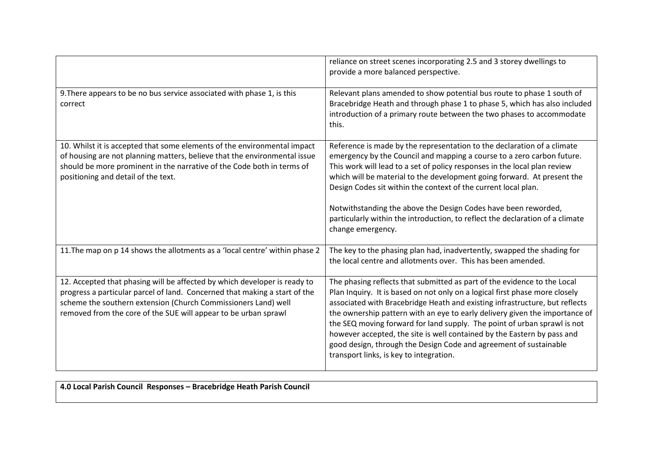|                                                                                                                                                                                                                                                                                              | reliance on street scenes incorporating 2.5 and 3 storey dwellings to<br>provide a more balanced perspective.                                                                                                                                                                                                                                                                                                                                                                                                                                                                                |
|----------------------------------------------------------------------------------------------------------------------------------------------------------------------------------------------------------------------------------------------------------------------------------------------|----------------------------------------------------------------------------------------------------------------------------------------------------------------------------------------------------------------------------------------------------------------------------------------------------------------------------------------------------------------------------------------------------------------------------------------------------------------------------------------------------------------------------------------------------------------------------------------------|
| 9. There appears to be no bus service associated with phase 1, is this<br>correct                                                                                                                                                                                                            | Relevant plans amended to show potential bus route to phase 1 south of<br>Bracebridge Heath and through phase 1 to phase 5, which has also included<br>introduction of a primary route between the two phases to accommodate<br>this.                                                                                                                                                                                                                                                                                                                                                        |
| 10. Whilst it is accepted that some elements of the environmental impact<br>of housing are not planning matters, believe that the environmental issue<br>should be more prominent in the narrative of the Code both in terms of<br>positioning and detail of the text.                       | Reference is made by the representation to the declaration of a climate<br>emergency by the Council and mapping a course to a zero carbon future.<br>This work will lead to a set of policy responses in the local plan review<br>which will be material to the development going forward. At present the<br>Design Codes sit within the context of the current local plan.<br>Notwithstanding the above the Design Codes have been reworded,<br>particularly within the introduction, to reflect the declaration of a climate<br>change emergency.                                          |
| 11. The map on p 14 shows the allotments as a 'local centre' within phase 2                                                                                                                                                                                                                  | The key to the phasing plan had, inadvertently, swapped the shading for<br>the local centre and allotments over. This has been amended.                                                                                                                                                                                                                                                                                                                                                                                                                                                      |
| 12. Accepted that phasing will be affected by which developer is ready to<br>progress a particular parcel of land. Concerned that making a start of the<br>scheme the southern extension (Church Commissioners Land) well<br>removed from the core of the SUE will appear to be urban sprawl | The phasing reflects that submitted as part of the evidence to the Local<br>Plan Inquiry. It is based on not only on a logical first phase more closely<br>associated with Bracebridge Heath and existing infrastructure, but reflects<br>the ownership pattern with an eye to early delivery given the importance of<br>the SEQ moving forward for land supply. The point of urban sprawl is not<br>however accepted, the site is well contained by the Eastern by pass and<br>good design, through the Design Code and agreement of sustainable<br>transport links, is key to integration. |

**4.0 Local Parish Council Responses – Bracebridge Heath Parish Council**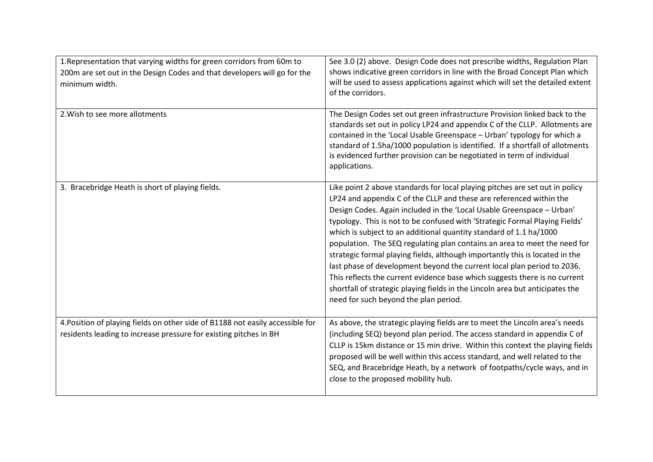| 1. Representation that varying widths for green corridors from 60m to<br>200m are set out in the Design Codes and that developers will go for the<br>minimum width. | See 3.0 (2) above. Design Code does not prescribe widths, Regulation Plan<br>shows indicative green corridors in line with the Broad Concept Plan which<br>will be used to assess applications against which will set the detailed extent<br>of the corridors.                                                                                                                                                                                                                                                                                                                                                                                                                                                                                                                                                                    |
|---------------------------------------------------------------------------------------------------------------------------------------------------------------------|-----------------------------------------------------------------------------------------------------------------------------------------------------------------------------------------------------------------------------------------------------------------------------------------------------------------------------------------------------------------------------------------------------------------------------------------------------------------------------------------------------------------------------------------------------------------------------------------------------------------------------------------------------------------------------------------------------------------------------------------------------------------------------------------------------------------------------------|
| 2. Wish to see more allotments                                                                                                                                      | The Design Codes set out green infrastructure Provision linked back to the<br>standards set out in policy LP24 and appendix C of the CLLP. Allotments are<br>contained in the 'Local Usable Greenspace - Urban' typology for which a<br>standard of 1.5ha/1000 population is identified. If a shortfall of allotments<br>is evidenced further provision can be negotiated in term of individual<br>applications.                                                                                                                                                                                                                                                                                                                                                                                                                  |
| 3. Bracebridge Heath is short of playing fields.                                                                                                                    | Like point 2 above standards for local playing pitches are set out in policy<br>LP24 and appendix C of the CLLP and these are referenced within the<br>Design Codes. Again included in the 'Local Usable Greenspace - Urban'<br>typology. This is not to be confused with 'Strategic Formal Playing Fields'<br>which is subject to an additional quantity standard of 1.1 ha/1000<br>population. The SEQ regulating plan contains an area to meet the need for<br>strategic formal playing fields, although importantly this is located in the<br>last phase of development beyond the current local plan period to 2036.<br>This reflects the current evidence base which suggests there is no current<br>shortfall of strategic playing fields in the Lincoln area but anticipates the<br>need for such beyond the plan period. |
| 4. Position of playing fields on other side of B1188 not easily accessible for<br>residents leading to increase pressure for existing pitches in BH                 | As above, the strategic playing fields are to meet the Lincoln area's needs<br>(including SEQ) beyond plan period. The access standard in appendix C of<br>CLLP is 15km distance or 15 min drive. Within this context the playing fields<br>proposed will be well within this access standard, and well related to the<br>SEQ, and Bracebridge Heath, by a network of footpaths/cycle ways, and in<br>close to the proposed mobility hub.                                                                                                                                                                                                                                                                                                                                                                                         |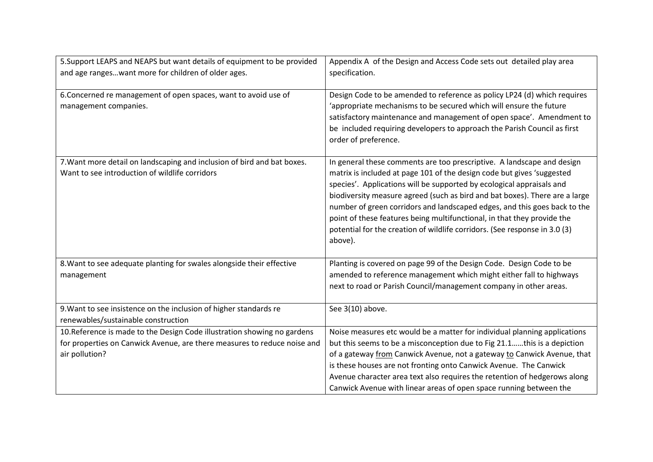| 5. Support LEAPS and NEAPS but want details of equipment to be provided<br>and age rangeswant more for children of older ages.                                         | Appendix A of the Design and Access Code sets out detailed play area<br>specification.                                                                                                                                                                                                                                                                                                                                                                                                                                                                    |
|------------------------------------------------------------------------------------------------------------------------------------------------------------------------|-----------------------------------------------------------------------------------------------------------------------------------------------------------------------------------------------------------------------------------------------------------------------------------------------------------------------------------------------------------------------------------------------------------------------------------------------------------------------------------------------------------------------------------------------------------|
| 6. Concerned re management of open spaces, want to avoid use of<br>management companies.                                                                               | Design Code to be amended to reference as policy LP24 (d) which requires<br>'appropriate mechanisms to be secured which will ensure the future<br>satisfactory maintenance and management of open space'. Amendment to<br>be included requiring developers to approach the Parish Council as first<br>order of preference.                                                                                                                                                                                                                                |
| 7. Want more detail on landscaping and inclusion of bird and bat boxes.<br>Want to see introduction of wildlife corridors                                              | In general these comments are too prescriptive. A landscape and design<br>matrix is included at page 101 of the design code but gives 'suggested<br>species'. Applications will be supported by ecological appraisals and<br>biodiversity measure agreed (such as bird and bat boxes). There are a large<br>number of green corridors and landscaped edges, and this goes back to the<br>point of these features being multifunctional, in that they provide the<br>potential for the creation of wildlife corridors. (See response in 3.0 (3)<br>above). |
| 8. Want to see adequate planting for swales alongside their effective<br>management                                                                                    | Planting is covered on page 99 of the Design Code. Design Code to be<br>amended to reference management which might either fall to highways<br>next to road or Parish Council/management company in other areas.                                                                                                                                                                                                                                                                                                                                          |
| 9. Want to see insistence on the inclusion of higher standards re<br>renewables/sustainable construction                                                               | See 3(10) above.                                                                                                                                                                                                                                                                                                                                                                                                                                                                                                                                          |
| 10. Reference is made to the Design Code illustration showing no gardens<br>for properties on Canwick Avenue, are there measures to reduce noise and<br>air pollution? | Noise measures etc would be a matter for individual planning applications<br>but this seems to be a misconception due to Fig 21.1this is a depiction<br>of a gateway from Canwick Avenue, not a gateway to Canwick Avenue, that<br>is these houses are not fronting onto Canwick Avenue. The Canwick<br>Avenue character area text also requires the retention of hedgerows along<br>Canwick Avenue with linear areas of open space running between the                                                                                                   |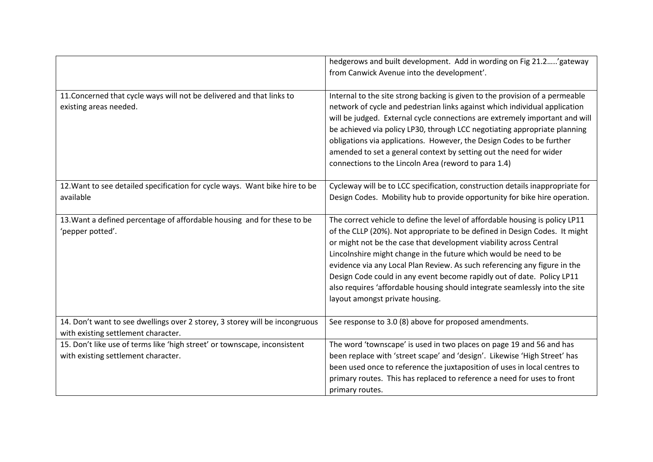|                                                                                                                    | hedgerows and built development. Add in wording on Fig 21.2' gateway<br>from Canwick Avenue into the development'.                                                                                                                                                                                                                                                                                                                                                                                                                                                             |
|--------------------------------------------------------------------------------------------------------------------|--------------------------------------------------------------------------------------------------------------------------------------------------------------------------------------------------------------------------------------------------------------------------------------------------------------------------------------------------------------------------------------------------------------------------------------------------------------------------------------------------------------------------------------------------------------------------------|
| 11. Concerned that cycle ways will not be delivered and that links to<br>existing areas needed.                    | Internal to the site strong backing is given to the provision of a permeable<br>network of cycle and pedestrian links against which individual application<br>will be judged. External cycle connections are extremely important and will<br>be achieved via policy LP30, through LCC negotiating appropriate planning<br>obligations via applications. However, the Design Codes to be further<br>amended to set a general context by setting out the need for wider<br>connections to the Lincoln Area (reword to para 1.4)                                                  |
| 12. Want to see detailed specification for cycle ways. Want bike hire to be<br>available                           | Cycleway will be to LCC specification, construction details inappropriate for<br>Design Codes. Mobility hub to provide opportunity for bike hire operation.                                                                                                                                                                                                                                                                                                                                                                                                                    |
| 13. Want a defined percentage of affordable housing and for these to be<br>'pepper potted'.                        | The correct vehicle to define the level of affordable housing is policy LP11<br>of the CLLP (20%). Not appropriate to be defined in Design Codes. It might<br>or might not be the case that development viability across Central<br>Lincolnshire might change in the future which would be need to be<br>evidence via any Local Plan Review. As such referencing any figure in the<br>Design Code could in any event become rapidly out of date. Policy LP11<br>also requires 'affordable housing should integrate seamlessly into the site<br>layout amongst private housing. |
| 14. Don't want to see dwellings over 2 storey, 3 storey will be incongruous<br>with existing settlement character. | See response to 3.0 (8) above for proposed amendments.                                                                                                                                                                                                                                                                                                                                                                                                                                                                                                                         |
| 15. Don't like use of terms like 'high street' or townscape, inconsistent<br>with existing settlement character.   | The word 'townscape' is used in two places on page 19 and 56 and has<br>been replace with 'street scape' and 'design'. Likewise 'High Street' has<br>been used once to reference the juxtaposition of uses in local centres to<br>primary routes. This has replaced to reference a need for uses to front<br>primary routes.                                                                                                                                                                                                                                                   |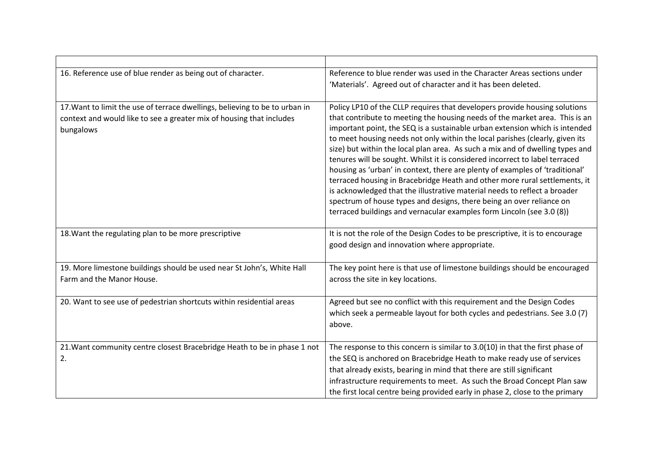| 16. Reference use of blue render as being out of character.                                                                                                      | Reference to blue render was used in the Character Areas sections under                                                                                                                                                                                                                                                                                                                                                                                                                                                                                                                                                                                                                                                                                                                                                                                                              |
|------------------------------------------------------------------------------------------------------------------------------------------------------------------|--------------------------------------------------------------------------------------------------------------------------------------------------------------------------------------------------------------------------------------------------------------------------------------------------------------------------------------------------------------------------------------------------------------------------------------------------------------------------------------------------------------------------------------------------------------------------------------------------------------------------------------------------------------------------------------------------------------------------------------------------------------------------------------------------------------------------------------------------------------------------------------|
|                                                                                                                                                                  | 'Materials'. Agreed out of character and it has been deleted.                                                                                                                                                                                                                                                                                                                                                                                                                                                                                                                                                                                                                                                                                                                                                                                                                        |
|                                                                                                                                                                  |                                                                                                                                                                                                                                                                                                                                                                                                                                                                                                                                                                                                                                                                                                                                                                                                                                                                                      |
| 17. Want to limit the use of terrace dwellings, believing to be to urban in<br>context and would like to see a greater mix of housing that includes<br>bungalows | Policy LP10 of the CLLP requires that developers provide housing solutions<br>that contribute to meeting the housing needs of the market area. This is an<br>important point, the SEQ is a sustainable urban extension which is intended<br>to meet housing needs not only within the local parishes (clearly, given its<br>size) but within the local plan area. As such a mix and of dwelling types and<br>tenures will be sought. Whilst it is considered incorrect to label terraced<br>housing as 'urban' in context, there are plenty of examples of 'traditional'<br>terraced housing in Bracebridge Heath and other more rural settlements, it<br>is acknowledged that the illustrative material needs to reflect a broader<br>spectrum of house types and designs, there being an over reliance on<br>terraced buildings and vernacular examples form Lincoln (see 3.0 (8)) |
| 18. Want the regulating plan to be more prescriptive                                                                                                             | It is not the role of the Design Codes to be prescriptive, it is to encourage<br>good design and innovation where appropriate.                                                                                                                                                                                                                                                                                                                                                                                                                                                                                                                                                                                                                                                                                                                                                       |
| 19. More limestone buildings should be used near St John's, White Hall                                                                                           | The key point here is that use of limestone buildings should be encouraged                                                                                                                                                                                                                                                                                                                                                                                                                                                                                                                                                                                                                                                                                                                                                                                                           |
| Farm and the Manor House.                                                                                                                                        | across the site in key locations.                                                                                                                                                                                                                                                                                                                                                                                                                                                                                                                                                                                                                                                                                                                                                                                                                                                    |
| 20. Want to see use of pedestrian shortcuts within residential areas                                                                                             | Agreed but see no conflict with this requirement and the Design Codes                                                                                                                                                                                                                                                                                                                                                                                                                                                                                                                                                                                                                                                                                                                                                                                                                |
|                                                                                                                                                                  | which seek a permeable layout for both cycles and pedestrians. See 3.0 (7)<br>above.                                                                                                                                                                                                                                                                                                                                                                                                                                                                                                                                                                                                                                                                                                                                                                                                 |
| 21. Want community centre closest Bracebridge Heath to be in phase 1 not                                                                                         | The response to this concern is similar to 3.0(10) in that the first phase of                                                                                                                                                                                                                                                                                                                                                                                                                                                                                                                                                                                                                                                                                                                                                                                                        |
| 2.                                                                                                                                                               | the SEQ is anchored on Bracebridge Heath to make ready use of services                                                                                                                                                                                                                                                                                                                                                                                                                                                                                                                                                                                                                                                                                                                                                                                                               |
|                                                                                                                                                                  | that already exists, bearing in mind that there are still significant                                                                                                                                                                                                                                                                                                                                                                                                                                                                                                                                                                                                                                                                                                                                                                                                                |
|                                                                                                                                                                  | infrastructure requirements to meet. As such the Broad Concept Plan saw                                                                                                                                                                                                                                                                                                                                                                                                                                                                                                                                                                                                                                                                                                                                                                                                              |
|                                                                                                                                                                  | the first local centre being provided early in phase 2, close to the primary                                                                                                                                                                                                                                                                                                                                                                                                                                                                                                                                                                                                                                                                                                                                                                                                         |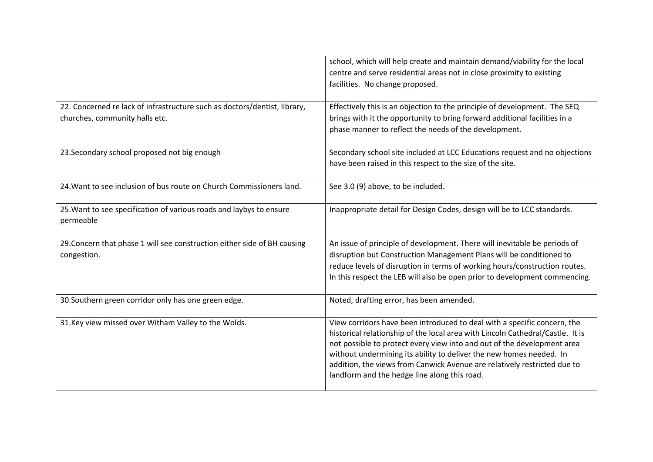|                                                                                  | school, which will help create and maintain demand/viability for the local<br>centre and serve residential areas not in close proximity to existing<br>facilities. No change proposed.                                                                                                                                                                                                                                                   |
|----------------------------------------------------------------------------------|------------------------------------------------------------------------------------------------------------------------------------------------------------------------------------------------------------------------------------------------------------------------------------------------------------------------------------------------------------------------------------------------------------------------------------------|
| 22. Concerned re lack of infrastructure such as doctors/dentist, library,        | Effectively this is an objection to the principle of development. The SEQ                                                                                                                                                                                                                                                                                                                                                                |
| churches, community halls etc.                                                   | brings with it the opportunity to bring forward additional facilities in a<br>phase manner to reflect the needs of the development.                                                                                                                                                                                                                                                                                                      |
| 23. Secondary school proposed not big enough                                     | Secondary school site included at LCC Educations request and no objections<br>have been raised in this respect to the size of the site.                                                                                                                                                                                                                                                                                                  |
| 24. Want to see inclusion of bus route on Church Commissioners land.             | See 3.0 (9) above, to be included.                                                                                                                                                                                                                                                                                                                                                                                                       |
| 25. Want to see specification of various roads and laybys to ensure<br>permeable | Inappropriate detail for Design Codes, design will be to LCC standards.                                                                                                                                                                                                                                                                                                                                                                  |
| 29. Concern that phase 1 will see construction either side of BH causing         | An issue of principle of development. There will inevitable be periods of<br>disruption but Construction Management Plans will be conditioned to                                                                                                                                                                                                                                                                                         |
| congestion.                                                                      | reduce levels of disruption in terms of working hours/construction routes.                                                                                                                                                                                                                                                                                                                                                               |
|                                                                                  | In this respect the LEB will also be open prior to development commencing.                                                                                                                                                                                                                                                                                                                                                               |
| 30. Southern green corridor only has one green edge.                             | Noted, drafting error, has been amended.                                                                                                                                                                                                                                                                                                                                                                                                 |
| 31. Key view missed over Witham Valley to the Wolds.                             | View corridors have been introduced to deal with a specific concern, the<br>historical relationship of the local area with Lincoln Cathedral/Castle. It is<br>not possible to protect every view into and out of the development area<br>without undermining its ability to deliver the new homes needed. In<br>addition, the views from Canwick Avenue are relatively restricted due to<br>landform and the hedge line along this road. |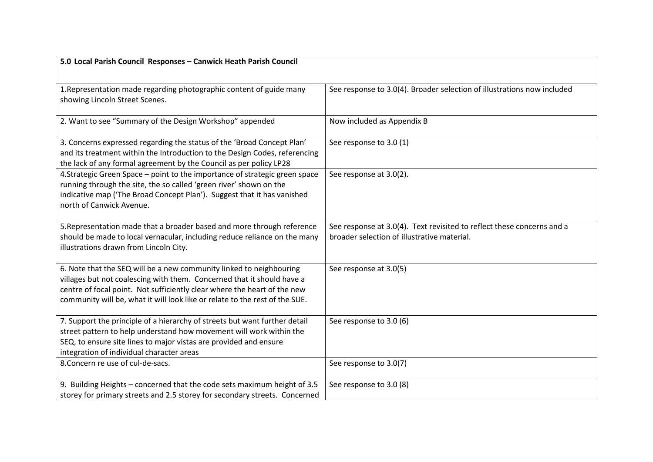| 5.0 Local Parish Council Responses - Canwick Heath Parish Council                                                                                  |                                                                         |
|----------------------------------------------------------------------------------------------------------------------------------------------------|-------------------------------------------------------------------------|
| 1. Representation made regarding photographic content of guide many                                                                                | See response to 3.0(4). Broader selection of illustrations now included |
| showing Lincoln Street Scenes.                                                                                                                     |                                                                         |
|                                                                                                                                                    |                                                                         |
| 2. Want to see "Summary of the Design Workshop" appended                                                                                           | Now included as Appendix B                                              |
| 3. Concerns expressed regarding the status of the 'Broad Concept Plan'                                                                             | See response to 3.0 (1)                                                 |
| and its treatment within the Introduction to the Design Codes, referencing<br>the lack of any formal agreement by the Council as per policy LP28   |                                                                         |
| 4. Strategic Green Space - point to the importance of strategic green space                                                                        | See response at 3.0(2).                                                 |
| running through the site, the so called 'green river' shown on the                                                                                 |                                                                         |
| indicative map ('The Broad Concept Plan'). Suggest that it has vanished<br>north of Canwick Avenue.                                                |                                                                         |
|                                                                                                                                                    |                                                                         |
| 5. Representation made that a broader based and more through reference                                                                             | See response at 3.0(4). Text revisited to reflect these concerns and a  |
| should be made to local vernacular, including reduce reliance on the many<br>illustrations drawn from Lincoln City.                                | broader selection of illustrative material.                             |
|                                                                                                                                                    |                                                                         |
| 6. Note that the SEQ will be a new community linked to neighbouring                                                                                | See response at 3.0(5)                                                  |
| villages but not coalescing with them. Concerned that it should have a<br>centre of focal point. Not sufficiently clear where the heart of the new |                                                                         |
| community will be, what it will look like or relate to the rest of the SUE.                                                                        |                                                                         |
|                                                                                                                                                    |                                                                         |
| 7. Support the principle of a hierarchy of streets but want further detail<br>street pattern to help understand how movement will work within the  | See response to 3.0 (6)                                                 |
| SEQ, to ensure site lines to major vistas are provided and ensure                                                                                  |                                                                         |
| integration of individual character areas                                                                                                          |                                                                         |
| 8. Concern re use of cul-de-sacs.                                                                                                                  | See response to 3.0(7)                                                  |
| 9. Building Heights - concerned that the code sets maximum height of 3.5                                                                           | See response to 3.0 (8)                                                 |
| storey for primary streets and 2.5 storey for secondary streets. Concerned                                                                         |                                                                         |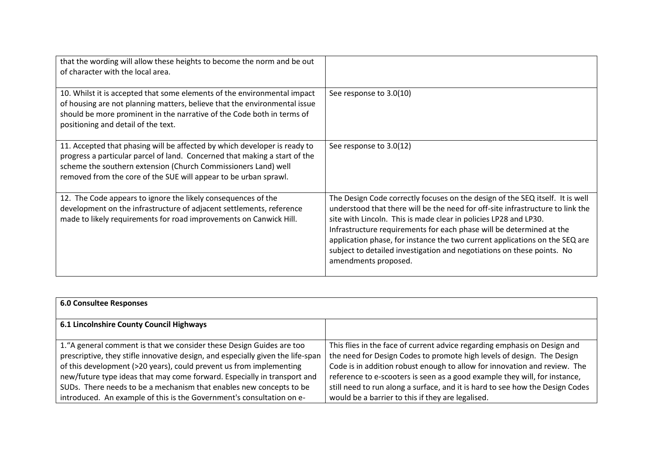| that the wording will allow these heights to become the norm and be out<br>of character with the local area.                                                                                                                                                                                  |                                                                                                                                                                                                                                                                                                                                                                                                                                                                                              |
|-----------------------------------------------------------------------------------------------------------------------------------------------------------------------------------------------------------------------------------------------------------------------------------------------|----------------------------------------------------------------------------------------------------------------------------------------------------------------------------------------------------------------------------------------------------------------------------------------------------------------------------------------------------------------------------------------------------------------------------------------------------------------------------------------------|
| 10. Whilst it is accepted that some elements of the environmental impact<br>of housing are not planning matters, believe that the environmental issue<br>should be more prominent in the narrative of the Code both in terms of<br>positioning and detail of the text.                        | See response to 3.0(10)                                                                                                                                                                                                                                                                                                                                                                                                                                                                      |
| 11. Accepted that phasing will be affected by which developer is ready to<br>progress a particular parcel of land. Concerned that making a start of the<br>scheme the southern extension (Church Commissioners Land) well<br>removed from the core of the SUE will appear to be urban sprawl. | See response to 3.0(12)                                                                                                                                                                                                                                                                                                                                                                                                                                                                      |
| 12. The Code appears to ignore the likely consequences of the<br>development on the infrastructure of adjacent settlements, reference<br>made to likely requirements for road improvements on Canwick Hill.                                                                                   | The Design Code correctly focuses on the design of the SEQ itself. It is well<br>understood that there will be the need for off-site infrastructure to link the<br>site with Lincoln. This is made clear in policies LP28 and LP30.<br>Infrastructure requirements for each phase will be determined at the<br>application phase, for instance the two current applications on the SEQ are<br>subject to detailed investigation and negotiations on these points. No<br>amendments proposed. |

| <b>6.0 Consultee Responses</b>                                                  |                                                                               |
|---------------------------------------------------------------------------------|-------------------------------------------------------------------------------|
| 6.1 Lincolnshire County Council Highways                                        |                                                                               |
| 1. "A general comment is that we consider these Design Guides are too           | This flies in the face of current advice regarding emphasis on Design and     |
| prescriptive, they stifle innovative design, and especially given the life-span | the need for Design Codes to promote high levels of design. The Design        |
| of this development (>20 years), could prevent us from implementing             | Code is in addition robust enough to allow for innovation and review. The     |
| new/future type ideas that may come forward. Especially in transport and        | reference to e-scooters is seen as a good example they will, for instance,    |
| SUDs. There needs to be a mechanism that enables new concepts to be             | still need to run along a surface, and it is hard to see how the Design Codes |
| introduced. An example of this is the Government's consultation on e-           | would be a barrier to this if they are legalised.                             |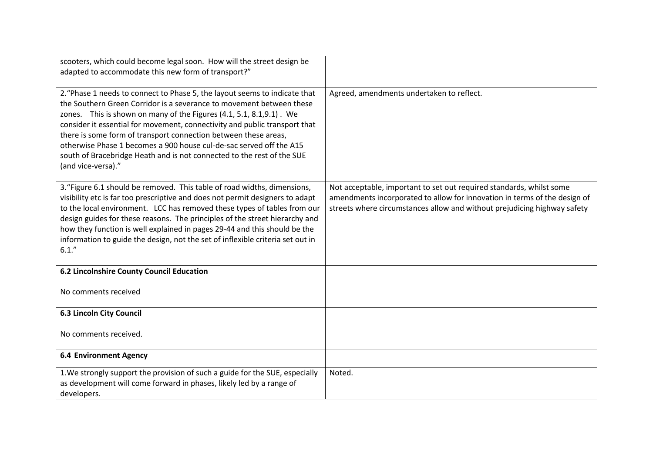| scooters, which could become legal soon. How will the street design be                                                                                                                                                                                                                                                                                                                                                                                                                                                                             |                                                                                                                                                                                                                               |
|----------------------------------------------------------------------------------------------------------------------------------------------------------------------------------------------------------------------------------------------------------------------------------------------------------------------------------------------------------------------------------------------------------------------------------------------------------------------------------------------------------------------------------------------------|-------------------------------------------------------------------------------------------------------------------------------------------------------------------------------------------------------------------------------|
| adapted to accommodate this new form of transport?"                                                                                                                                                                                                                                                                                                                                                                                                                                                                                                |                                                                                                                                                                                                                               |
|                                                                                                                                                                                                                                                                                                                                                                                                                                                                                                                                                    |                                                                                                                                                                                                                               |
| 2. "Phase 1 needs to connect to Phase 5, the layout seems to indicate that<br>the Southern Green Corridor is a severance to movement between these<br>zones. This is shown on many of the Figures (4.1, 5.1, 8.1, 9.1). We<br>consider it essential for movement, connectivity and public transport that<br>there is some form of transport connection between these areas,<br>otherwise Phase 1 becomes a 900 house cul-de-sac served off the A15<br>south of Bracebridge Heath and is not connected to the rest of the SUE<br>(and vice-versa)." | Agreed, amendments undertaken to reflect.                                                                                                                                                                                     |
| 3. "Figure 6.1 should be removed. This table of road widths, dimensions,<br>visibility etc is far too prescriptive and does not permit designers to adapt<br>to the local environment. LCC has removed these types of tables from our<br>design guides for these reasons. The principles of the street hierarchy and<br>how they function is well explained in pages 29-44 and this should be the<br>information to guide the design, not the set of inflexible criteria set out in<br>6.1."                                                       | Not acceptable, important to set out required standards, whilst some<br>amendments incorporated to allow for innovation in terms of the design of<br>streets where circumstances allow and without prejudicing highway safety |
| <b>6.2 Lincolnshire County Council Education</b>                                                                                                                                                                                                                                                                                                                                                                                                                                                                                                   |                                                                                                                                                                                                                               |
| No comments received                                                                                                                                                                                                                                                                                                                                                                                                                                                                                                                               |                                                                                                                                                                                                                               |
| <b>6.3 Lincoln City Council</b>                                                                                                                                                                                                                                                                                                                                                                                                                                                                                                                    |                                                                                                                                                                                                                               |
| No comments received.                                                                                                                                                                                                                                                                                                                                                                                                                                                                                                                              |                                                                                                                                                                                                                               |
| <b>6.4 Environment Agency</b>                                                                                                                                                                                                                                                                                                                                                                                                                                                                                                                      |                                                                                                                                                                                                                               |
| 1. We strongly support the provision of such a guide for the SUE, especially<br>as development will come forward in phases, likely led by a range of<br>developers.                                                                                                                                                                                                                                                                                                                                                                                | Noted.                                                                                                                                                                                                                        |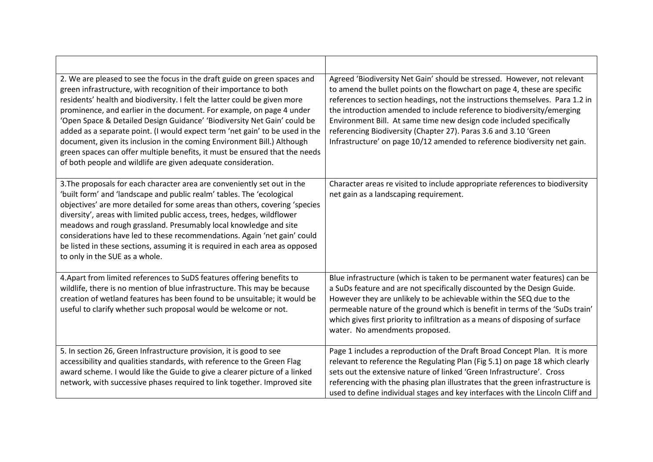| 2. We are pleased to see the focus in the draft guide on green spaces and<br>green infrastructure, with recognition of their importance to both<br>residents' health and biodiversity. I felt the latter could be given more<br>prominence, and earlier in the document. For example, on page 4 under<br>'Open Space & Detailed Design Guidance' 'Biodiversity Net Gain' could be<br>added as a separate point. (I would expect term 'net gain' to be used in the<br>document, given its inclusion in the coming Environment Bill.) Although<br>green spaces can offer multiple benefits, it must be ensured that the needs<br>of both people and wildlife are given adequate consideration. | Agreed 'Biodiversity Net Gain' should be stressed. However, not relevant<br>to amend the bullet points on the flowchart on page 4, these are specific<br>references to section headings, not the instructions themselves. Para 1.2 in<br>the introduction amended to include reference to biodiversity/emerging<br>Environment Bill. At same time new design code included specifically<br>referencing Biodiversity (Chapter 27). Paras 3.6 and 3.10 'Green<br>Infrastructure' on page 10/12 amended to reference biodiversity net gain. |
|----------------------------------------------------------------------------------------------------------------------------------------------------------------------------------------------------------------------------------------------------------------------------------------------------------------------------------------------------------------------------------------------------------------------------------------------------------------------------------------------------------------------------------------------------------------------------------------------------------------------------------------------------------------------------------------------|------------------------------------------------------------------------------------------------------------------------------------------------------------------------------------------------------------------------------------------------------------------------------------------------------------------------------------------------------------------------------------------------------------------------------------------------------------------------------------------------------------------------------------------|
| 3. The proposals for each character area are conveniently set out in the<br>'built form' and 'landscape and public realm' tables. The 'ecological<br>objectives' are more detailed for some areas than others, covering 'species<br>diversity', areas with limited public access, trees, hedges, wildflower<br>meadows and rough grassland. Presumably local knowledge and site<br>considerations have led to these recommendations. Again 'net gain' could<br>be listed in these sections, assuming it is required in each area as opposed<br>to only in the SUE as a whole.                                                                                                                | Character areas re visited to include appropriate references to biodiversity<br>net gain as a landscaping requirement.                                                                                                                                                                                                                                                                                                                                                                                                                   |
| 4. Apart from limited references to SuDS features offering benefits to<br>wildlife, there is no mention of blue infrastructure. This may be because<br>creation of wetland features has been found to be unsuitable; it would be<br>useful to clarify whether such proposal would be welcome or not.                                                                                                                                                                                                                                                                                                                                                                                         | Blue infrastructure (which is taken to be permanent water features) can be<br>a SuDs feature and are not specifically discounted by the Design Guide.<br>However they are unlikely to be achievable within the SEQ due to the<br>permeable nature of the ground which is benefit in terms of the 'SuDs train'<br>which gives first priority to infiltration as a means of disposing of surface<br>water. No amendments proposed.                                                                                                         |
| 5. In section 26, Green Infrastructure provision, it is good to see<br>accessibility and qualities standards, with reference to the Green Flag<br>award scheme. I would like the Guide to give a clearer picture of a linked<br>network, with successive phases required to link together. Improved site                                                                                                                                                                                                                                                                                                                                                                                     | Page 1 includes a reproduction of the Draft Broad Concept Plan. It is more<br>relevant to reference the Regulating Plan (Fig 5.1) on page 18 which clearly<br>sets out the extensive nature of linked 'Green Infrastructure'. Cross<br>referencing with the phasing plan illustrates that the green infrastructure is<br>used to define individual stages and key interfaces with the Lincoln Cliff and                                                                                                                                  |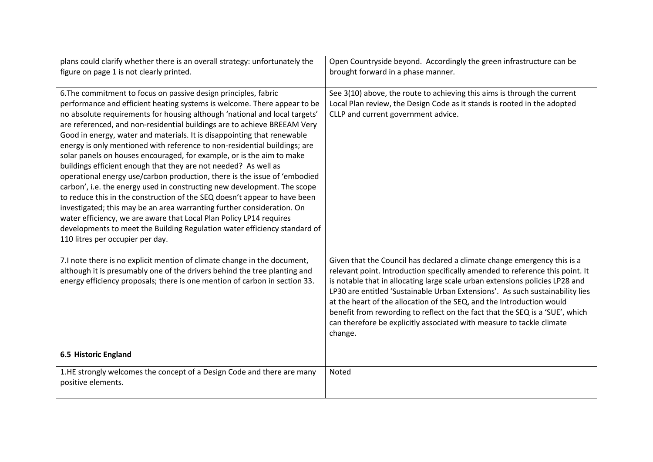| plans could clarify whether there is an overall strategy: unfortunately the<br>figure on page 1 is not clearly printed.                                                                                                                                                                                                                                                                                                                                                                                                                                                                                                                                                                                                                                                                                                                                                                                                                                                                                                                                                                                           | Open Countryside beyond. Accordingly the green infrastructure can be<br>brought forward in a phase manner.                                                                                                                                                                                                                                                                                                                                                                                                                                                              |
|-------------------------------------------------------------------------------------------------------------------------------------------------------------------------------------------------------------------------------------------------------------------------------------------------------------------------------------------------------------------------------------------------------------------------------------------------------------------------------------------------------------------------------------------------------------------------------------------------------------------------------------------------------------------------------------------------------------------------------------------------------------------------------------------------------------------------------------------------------------------------------------------------------------------------------------------------------------------------------------------------------------------------------------------------------------------------------------------------------------------|-------------------------------------------------------------------------------------------------------------------------------------------------------------------------------------------------------------------------------------------------------------------------------------------------------------------------------------------------------------------------------------------------------------------------------------------------------------------------------------------------------------------------------------------------------------------------|
| 6. The commitment to focus on passive design principles, fabric<br>performance and efficient heating systems is welcome. There appear to be<br>no absolute requirements for housing although 'national and local targets'<br>are referenced, and non-residential buildings are to achieve BREEAM Very<br>Good in energy, water and materials. It is disappointing that renewable<br>energy is only mentioned with reference to non-residential buildings; are<br>solar panels on houses encouraged, for example, or is the aim to make<br>buildings efficient enough that they are not needed? As well as<br>operational energy use/carbon production, there is the issue of 'embodied<br>carbon', i.e. the energy used in constructing new development. The scope<br>to reduce this in the construction of the SEQ doesn't appear to have been<br>investigated; this may be an area warranting further consideration. On<br>water efficiency, we are aware that Local Plan Policy LP14 requires<br>developments to meet the Building Regulation water efficiency standard of<br>110 litres per occupier per day. | See 3(10) above, the route to achieving this aims is through the current<br>Local Plan review, the Design Code as it stands is rooted in the adopted<br>CLLP and current government advice.                                                                                                                                                                                                                                                                                                                                                                             |
| 7.I note there is no explicit mention of climate change in the document,<br>although it is presumably one of the drivers behind the tree planting and<br>energy efficiency proposals; there is one mention of carbon in section 33.                                                                                                                                                                                                                                                                                                                                                                                                                                                                                                                                                                                                                                                                                                                                                                                                                                                                               | Given that the Council has declared a climate change emergency this is a<br>relevant point. Introduction specifically amended to reference this point. It<br>is notable that in allocating large scale urban extensions policies LP28 and<br>LP30 are entitled 'Sustainable Urban Extensions'. As such sustainability lies<br>at the heart of the allocation of the SEQ, and the Introduction would<br>benefit from rewording to reflect on the fact that the SEQ is a 'SUE', which<br>can therefore be explicitly associated with measure to tackle climate<br>change. |
| <b>6.5 Historic England</b>                                                                                                                                                                                                                                                                                                                                                                                                                                                                                                                                                                                                                                                                                                                                                                                                                                                                                                                                                                                                                                                                                       |                                                                                                                                                                                                                                                                                                                                                                                                                                                                                                                                                                         |
| 1.HE strongly welcomes the concept of a Design Code and there are many<br>positive elements.                                                                                                                                                                                                                                                                                                                                                                                                                                                                                                                                                                                                                                                                                                                                                                                                                                                                                                                                                                                                                      | Noted                                                                                                                                                                                                                                                                                                                                                                                                                                                                                                                                                                   |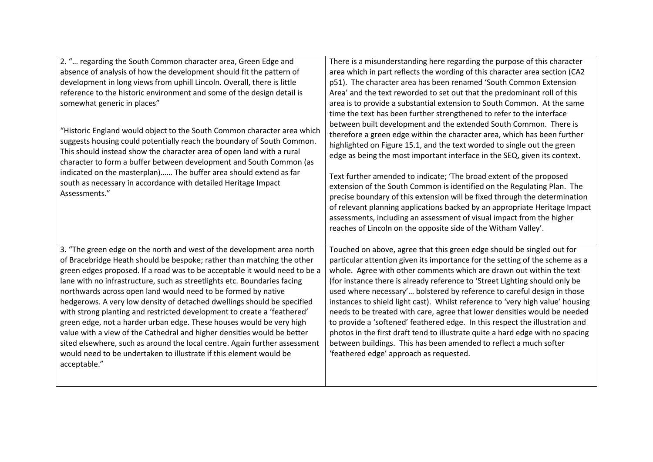| 2. " regarding the South Common character area, Green Edge and<br>absence of analysis of how the development should fit the pattern of<br>development in long views from uphill Lincoln. Overall, there is little<br>reference to the historic environment and some of the design detail is<br>somewhat generic in places"<br>"Historic England would object to the South Common character area which<br>suggests housing could potentially reach the boundary of South Common.<br>This should instead show the character area of open land with a rural                                                                                                                                                                                                                                                                                                 | There is a misunderstanding here regarding the purpose of this character<br>area which in part reflects the wording of this character area section (CA2<br>p51). The character area has been renamed 'South Common Extension<br>Area' and the text reworded to set out that the predominant roll of this<br>area is to provide a substantial extension to South Common. At the same<br>time the text has been further strengthened to refer to the interface<br>between built development and the extended South Common. There is<br>therefore a green edge within the character area, which has been further<br>highlighted on Figure 15.1, and the text worded to single out the green<br>edge as being the most important interface in the SEQ, given its context.                                                                     |
|----------------------------------------------------------------------------------------------------------------------------------------------------------------------------------------------------------------------------------------------------------------------------------------------------------------------------------------------------------------------------------------------------------------------------------------------------------------------------------------------------------------------------------------------------------------------------------------------------------------------------------------------------------------------------------------------------------------------------------------------------------------------------------------------------------------------------------------------------------|-------------------------------------------------------------------------------------------------------------------------------------------------------------------------------------------------------------------------------------------------------------------------------------------------------------------------------------------------------------------------------------------------------------------------------------------------------------------------------------------------------------------------------------------------------------------------------------------------------------------------------------------------------------------------------------------------------------------------------------------------------------------------------------------------------------------------------------------|
| character to form a buffer between development and South Common (as<br>indicated on the masterplan) The buffer area should extend as far<br>south as necessary in accordance with detailed Heritage Impact<br>Assessments."                                                                                                                                                                                                                                                                                                                                                                                                                                                                                                                                                                                                                              | Text further amended to indicate; 'The broad extent of the proposed<br>extension of the South Common is identified on the Regulating Plan. The<br>precise boundary of this extension will be fixed through the determination<br>of relevant planning applications backed by an appropriate Heritage Impact<br>assessments, including an assessment of visual impact from the higher<br>reaches of Lincoln on the opposite side of the Witham Valley'.                                                                                                                                                                                                                                                                                                                                                                                     |
| 3. "The green edge on the north and west of the development area north<br>of Bracebridge Heath should be bespoke; rather than matching the other<br>green edges proposed. If a road was to be acceptable it would need to be a<br>lane with no infrastructure, such as streetlights etc. Boundaries facing<br>northwards across open land would need to be formed by native<br>hedgerows. A very low density of detached dwellings should be specified<br>with strong planting and restricted development to create a 'feathered'<br>green edge, not a harder urban edge. These houses would be very high<br>value with a view of the Cathedral and higher densities would be better<br>sited elsewhere, such as around the local centre. Again further assessment<br>would need to be undertaken to illustrate if this element would be<br>acceptable." | Touched on above, agree that this green edge should be singled out for<br>particular attention given its importance for the setting of the scheme as a<br>whole. Agree with other comments which are drawn out within the text<br>(for instance there is already reference to 'Street Lighting should only be<br>used where necessary' bolstered by reference to careful design in those<br>instances to shield light cast). Whilst reference to 'very high value' housing<br>needs to be treated with care, agree that lower densities would be needed<br>to provide a 'softened' feathered edge. In this respect the illustration and<br>photos in the first draft tend to illustrate quite a hard edge with no spacing<br>between buildings. This has been amended to reflect a much softer<br>'feathered edge' approach as requested. |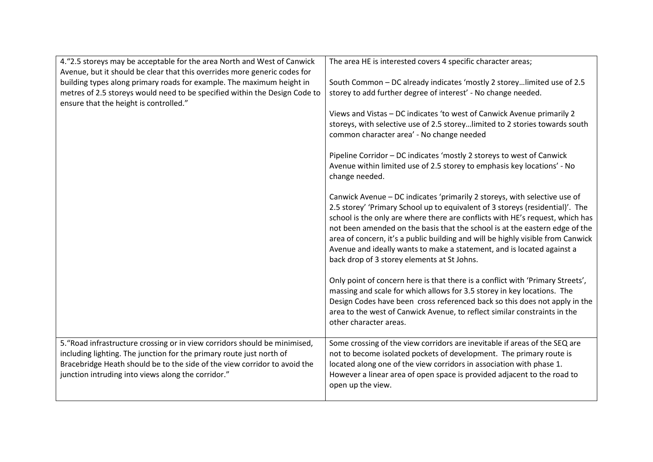| 4."2.5 storeys may be acceptable for the area North and West of Canwick                                                                                                                                                                                                               | The area HE is interested covers 4 specific character areas;                                                                                                                                                                                                                                                                                                                                                                                                                                                                           |
|---------------------------------------------------------------------------------------------------------------------------------------------------------------------------------------------------------------------------------------------------------------------------------------|----------------------------------------------------------------------------------------------------------------------------------------------------------------------------------------------------------------------------------------------------------------------------------------------------------------------------------------------------------------------------------------------------------------------------------------------------------------------------------------------------------------------------------------|
| Avenue, but it should be clear that this overrides more generic codes for                                                                                                                                                                                                             |                                                                                                                                                                                                                                                                                                                                                                                                                                                                                                                                        |
| building types along primary roads for example. The maximum height in                                                                                                                                                                                                                 | South Common - DC already indicates 'mostly 2 storeylimited use of 2.5                                                                                                                                                                                                                                                                                                                                                                                                                                                                 |
| metres of 2.5 storeys would need to be specified within the Design Code to                                                                                                                                                                                                            | storey to add further degree of interest' - No change needed.                                                                                                                                                                                                                                                                                                                                                                                                                                                                          |
| ensure that the height is controlled."                                                                                                                                                                                                                                                |                                                                                                                                                                                                                                                                                                                                                                                                                                                                                                                                        |
|                                                                                                                                                                                                                                                                                       | Views and Vistas - DC indicates 'to west of Canwick Avenue primarily 2<br>storeys, with selective use of 2.5 storeylimited to 2 stories towards south                                                                                                                                                                                                                                                                                                                                                                                  |
|                                                                                                                                                                                                                                                                                       | common character area' - No change needed                                                                                                                                                                                                                                                                                                                                                                                                                                                                                              |
|                                                                                                                                                                                                                                                                                       |                                                                                                                                                                                                                                                                                                                                                                                                                                                                                                                                        |
|                                                                                                                                                                                                                                                                                       | Pipeline Corridor - DC indicates 'mostly 2 storeys to west of Canwick<br>Avenue within limited use of 2.5 storey to emphasis key locations' - No<br>change needed.                                                                                                                                                                                                                                                                                                                                                                     |
|                                                                                                                                                                                                                                                                                       | Canwick Avenue - DC indicates 'primarily 2 storeys, with selective use of<br>2.5 storey' 'Primary School up to equivalent of 3 storeys (residential)'. The<br>school is the only are where there are conflicts with HE's request, which has<br>not been amended on the basis that the school is at the eastern edge of the<br>area of concern, it's a public building and will be highly visible from Canwick<br>Avenue and ideally wants to make a statement, and is located against a<br>back drop of 3 storey elements at St Johns. |
|                                                                                                                                                                                                                                                                                       | Only point of concern here is that there is a conflict with 'Primary Streets',<br>massing and scale for which allows for 3.5 storey in key locations. The<br>Design Codes have been cross referenced back so this does not apply in the<br>area to the west of Canwick Avenue, to reflect similar constraints in the<br>other character areas.                                                                                                                                                                                         |
| 5. "Road infrastructure crossing or in view corridors should be minimised,<br>including lighting. The junction for the primary route just north of<br>Bracebridge Heath should be to the side of the view corridor to avoid the<br>junction intruding into views along the corridor." | Some crossing of the view corridors are inevitable if areas of the SEQ are<br>not to become isolated pockets of development. The primary route is<br>located along one of the view corridors in association with phase 1.<br>However a linear area of open space is provided adjacent to the road to<br>open up the view.                                                                                                                                                                                                              |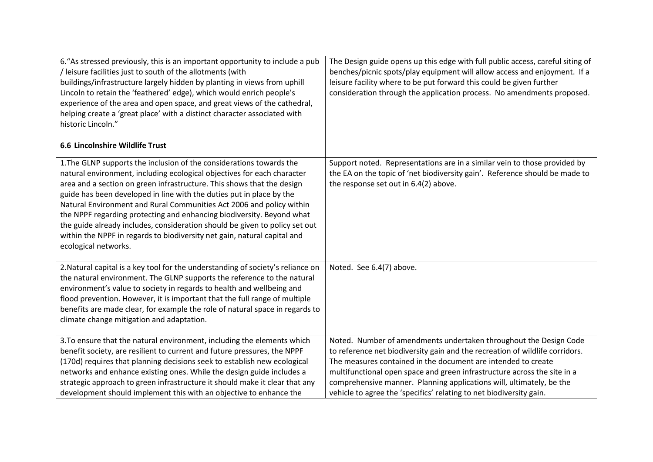| 6. "As stressed previously, this is an important opportunity to include a pub<br>/ leisure facilities just to south of the allotments (with<br>buildings/infrastructure largely hidden by planting in views from uphill<br>Lincoln to retain the 'feathered' edge), which would enrich people's<br>experience of the area and open space, and great views of the cathedral,<br>helping create a 'great place' with a distinct character associated with<br>historic Lincoln."                                                                                                                                                         | The Design guide opens up this edge with full public access, careful siting of<br>benches/picnic spots/play equipment will allow access and enjoyment. If a<br>leisure facility where to be put forward this could be given further<br>consideration through the application process. No amendments proposed.                                                                                                                                 |
|---------------------------------------------------------------------------------------------------------------------------------------------------------------------------------------------------------------------------------------------------------------------------------------------------------------------------------------------------------------------------------------------------------------------------------------------------------------------------------------------------------------------------------------------------------------------------------------------------------------------------------------|-----------------------------------------------------------------------------------------------------------------------------------------------------------------------------------------------------------------------------------------------------------------------------------------------------------------------------------------------------------------------------------------------------------------------------------------------|
| 6.6 Lincolnshire Wildlife Trust                                                                                                                                                                                                                                                                                                                                                                                                                                                                                                                                                                                                       |                                                                                                                                                                                                                                                                                                                                                                                                                                               |
| 1. The GLNP supports the inclusion of the considerations towards the<br>natural environment, including ecological objectives for each character<br>area and a section on green infrastructure. This shows that the design<br>guide has been developed in line with the duties put in place by the<br>Natural Environment and Rural Communities Act 2006 and policy within<br>the NPPF regarding protecting and enhancing biodiversity. Beyond what<br>the guide already includes, consideration should be given to policy set out<br>within the NPPF in regards to biodiversity net gain, natural capital and<br>ecological networks. | Support noted. Representations are in a similar vein to those provided by<br>the EA on the topic of 'net biodiversity gain'. Reference should be made to<br>the response set out in 6.4(2) above.                                                                                                                                                                                                                                             |
| 2. Natural capital is a key tool for the understanding of society's reliance on<br>the natural environment. The GLNP supports the reference to the natural<br>environment's value to society in regards to health and wellbeing and<br>flood prevention. However, it is important that the full range of multiple<br>benefits are made clear, for example the role of natural space in regards to<br>climate change mitigation and adaptation.                                                                                                                                                                                        | Noted. See 6.4(7) above.                                                                                                                                                                                                                                                                                                                                                                                                                      |
| 3. To ensure that the natural environment, including the elements which<br>benefit society, are resilient to current and future pressures, the NPPF<br>(170d) requires that planning decisions seek to establish new ecological<br>networks and enhance existing ones. While the design guide includes a<br>strategic approach to green infrastructure it should make it clear that any<br>development should implement this with an objective to enhance the                                                                                                                                                                         | Noted. Number of amendments undertaken throughout the Design Code<br>to reference net biodiversity gain and the recreation of wildlife corridors.<br>The measures contained in the document are intended to create<br>multifunctional open space and green infrastructure across the site in a<br>comprehensive manner. Planning applications will, ultimately, be the<br>vehicle to agree the 'specifics' relating to net biodiversity gain. |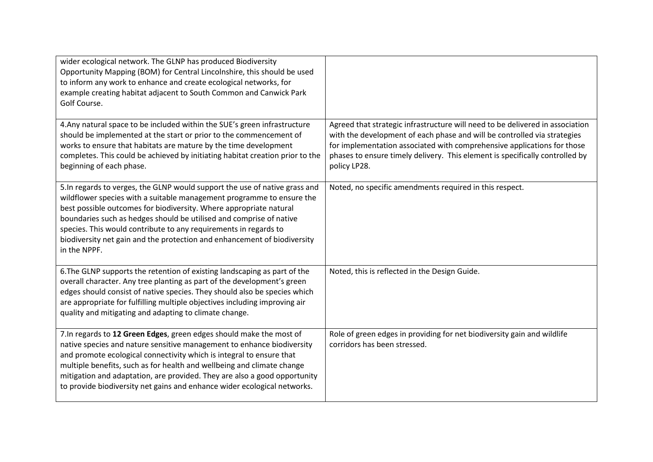| wider ecological network. The GLNP has produced Biodiversity<br>Opportunity Mapping (BOM) for Central Lincolnshire, this should be used<br>to inform any work to enhance and create ecological networks, for<br>example creating habitat adjacent to South Common and Canwick Park<br>Golf Course.                                                                                                                                                                |                                                                                                                                                                                                                                                                                                                                      |
|-------------------------------------------------------------------------------------------------------------------------------------------------------------------------------------------------------------------------------------------------------------------------------------------------------------------------------------------------------------------------------------------------------------------------------------------------------------------|--------------------------------------------------------------------------------------------------------------------------------------------------------------------------------------------------------------------------------------------------------------------------------------------------------------------------------------|
| 4. Any natural space to be included within the SUE's green infrastructure<br>should be implemented at the start or prior to the commencement of<br>works to ensure that habitats are mature by the time development<br>completes. This could be achieved by initiating habitat creation prior to the<br>beginning of each phase.                                                                                                                                  | Agreed that strategic infrastructure will need to be delivered in association<br>with the development of each phase and will be controlled via strategies<br>for implementation associated with comprehensive applications for those<br>phases to ensure timely delivery. This element is specifically controlled by<br>policy LP28. |
| 5. In regards to verges, the GLNP would support the use of native grass and<br>wildflower species with a suitable management programme to ensure the<br>best possible outcomes for biodiversity. Where appropriate natural<br>boundaries such as hedges should be utilised and comprise of native<br>species. This would contribute to any requirements in regards to<br>biodiversity net gain and the protection and enhancement of biodiversity<br>in the NPPF. | Noted, no specific amendments required in this respect.                                                                                                                                                                                                                                                                              |
| 6. The GLNP supports the retention of existing landscaping as part of the<br>overall character. Any tree planting as part of the development's green<br>edges should consist of native species. They should also be species which<br>are appropriate for fulfilling multiple objectives including improving air<br>quality and mitigating and adapting to climate change.                                                                                         | Noted, this is reflected in the Design Guide.                                                                                                                                                                                                                                                                                        |
| 7. In regards to 12 Green Edges, green edges should make the most of<br>native species and nature sensitive management to enhance biodiversity<br>and promote ecological connectivity which is integral to ensure that<br>multiple benefits, such as for health and wellbeing and climate change<br>mitigation and adaptation, are provided. They are also a good opportunity<br>to provide biodiversity net gains and enhance wider ecological networks.         | Role of green edges in providing for net biodiversity gain and wildlife<br>corridors has been stressed.                                                                                                                                                                                                                              |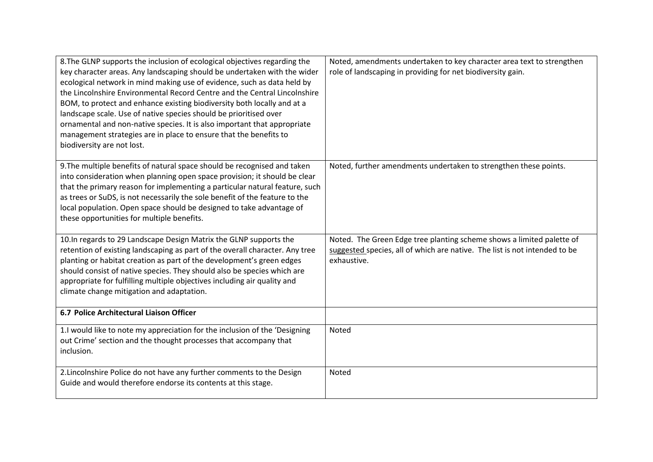| 8. The GLNP supports the inclusion of ecological objectives regarding the<br>key character areas. Any landscaping should be undertaken with the wider<br>ecological network in mind making use of evidence, such as data held by<br>the Lincolnshire Environmental Record Centre and the Central Lincolnshire<br>BOM, to protect and enhance existing biodiversity both locally and at a<br>landscape scale. Use of native species should be prioritised over<br>ornamental and non-native species. It is also important that appropriate<br>management strategies are in place to ensure that the benefits to<br>biodiversity are not lost. | Noted, amendments undertaken to key character area text to strengthen<br>role of landscaping in providing for net biodiversity gain.                               |
|----------------------------------------------------------------------------------------------------------------------------------------------------------------------------------------------------------------------------------------------------------------------------------------------------------------------------------------------------------------------------------------------------------------------------------------------------------------------------------------------------------------------------------------------------------------------------------------------------------------------------------------------|--------------------------------------------------------------------------------------------------------------------------------------------------------------------|
| 9. The multiple benefits of natural space should be recognised and taken<br>into consideration when planning open space provision; it should be clear<br>that the primary reason for implementing a particular natural feature, such<br>as trees or SuDS, is not necessarily the sole benefit of the feature to the<br>local population. Open space should be designed to take advantage of<br>these opportunities for multiple benefits.                                                                                                                                                                                                    | Noted, further amendments undertaken to strengthen these points.                                                                                                   |
| 10. In regards to 29 Landscape Design Matrix the GLNP supports the<br>retention of existing landscaping as part of the overall character. Any tree<br>planting or habitat creation as part of the development's green edges<br>should consist of native species. They should also be species which are<br>appropriate for fulfilling multiple objectives including air quality and<br>climate change mitigation and adaptation.                                                                                                                                                                                                              | Noted. The Green Edge tree planting scheme shows a limited palette of<br>suggested species, all of which are native. The list is not intended to be<br>exhaustive. |
| 6.7 Police Architectural Liaison Officer                                                                                                                                                                                                                                                                                                                                                                                                                                                                                                                                                                                                     |                                                                                                                                                                    |
| 1.I would like to note my appreciation for the inclusion of the 'Designing<br>out Crime' section and the thought processes that accompany that<br>inclusion.                                                                                                                                                                                                                                                                                                                                                                                                                                                                                 | Noted                                                                                                                                                              |
| 2. Lincolnshire Police do not have any further comments to the Design<br>Guide and would therefore endorse its contents at this stage.                                                                                                                                                                                                                                                                                                                                                                                                                                                                                                       | Noted                                                                                                                                                              |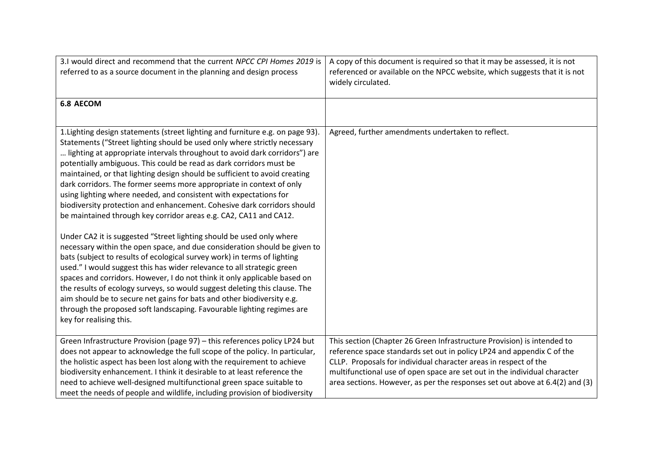| 3.1 would direct and recommend that the current NPCC CPI Homes 2019 is<br>referred to as a source document in the planning and design process                                                                                                                                                                                                                                                                                                                                                                                                                                                                                                                                                                                                                                                                                                                                                                                                                                                                                                                                                                                                                                                                                                                                                                                                    | A copy of this document is required so that it may be assessed, it is not<br>referenced or available on the NPCC website, which suggests that it is not<br>widely circulated. |
|--------------------------------------------------------------------------------------------------------------------------------------------------------------------------------------------------------------------------------------------------------------------------------------------------------------------------------------------------------------------------------------------------------------------------------------------------------------------------------------------------------------------------------------------------------------------------------------------------------------------------------------------------------------------------------------------------------------------------------------------------------------------------------------------------------------------------------------------------------------------------------------------------------------------------------------------------------------------------------------------------------------------------------------------------------------------------------------------------------------------------------------------------------------------------------------------------------------------------------------------------------------------------------------------------------------------------------------------------|-------------------------------------------------------------------------------------------------------------------------------------------------------------------------------|
| <b>6.8 AECOM</b>                                                                                                                                                                                                                                                                                                                                                                                                                                                                                                                                                                                                                                                                                                                                                                                                                                                                                                                                                                                                                                                                                                                                                                                                                                                                                                                                 |                                                                                                                                                                               |
| 1. Lighting design statements (street lighting and furniture e.g. on page 93).<br>Statements ("Street lighting should be used only where strictly necessary<br>lighting at appropriate intervals throughout to avoid dark corridors") are<br>potentially ambiguous. This could be read as dark corridors must be<br>maintained, or that lighting design should be sufficient to avoid creating<br>dark corridors. The former seems more appropriate in context of only<br>using lighting where needed, and consistent with expectations for<br>biodiversity protection and enhancement. Cohesive dark corridors should<br>be maintained through key corridor areas e.g. CA2, CA11 and CA12.<br>Under CA2 it is suggested "Street lighting should be used only where<br>necessary within the open space, and due consideration should be given to<br>bats (subject to results of ecological survey work) in terms of lighting<br>used." I would suggest this has wider relevance to all strategic green<br>spaces and corridors. However, I do not think it only applicable based on<br>the results of ecology surveys, so would suggest deleting this clause. The<br>aim should be to secure net gains for bats and other biodiversity e.g.<br>through the proposed soft landscaping. Favourable lighting regimes are<br>key for realising this. | Agreed, further amendments undertaken to reflect.                                                                                                                             |
| Green Infrastructure Provision (page 97) - this references policy LP24 but<br>does not appear to acknowledge the full scope of the policy. In particular,                                                                                                                                                                                                                                                                                                                                                                                                                                                                                                                                                                                                                                                                                                                                                                                                                                                                                                                                                                                                                                                                                                                                                                                        | This section (Chapter 26 Green Infrastructure Provision) is intended to<br>reference space standards set out in policy LP24 and appendix C of the                             |
| the holistic aspect has been lost along with the requirement to achieve                                                                                                                                                                                                                                                                                                                                                                                                                                                                                                                                                                                                                                                                                                                                                                                                                                                                                                                                                                                                                                                                                                                                                                                                                                                                          | CLLP. Proposals for individual character areas in respect of the                                                                                                              |
| biodiversity enhancement. I think it desirable to at least reference the                                                                                                                                                                                                                                                                                                                                                                                                                                                                                                                                                                                                                                                                                                                                                                                                                                                                                                                                                                                                                                                                                                                                                                                                                                                                         | multifunctional use of open space are set out in the individual character                                                                                                     |
| need to achieve well-designed multifunctional green space suitable to<br>meet the needs of people and wildlife, including provision of biodiversity                                                                                                                                                                                                                                                                                                                                                                                                                                                                                                                                                                                                                                                                                                                                                                                                                                                                                                                                                                                                                                                                                                                                                                                              | area sections. However, as per the responses set out above at 6.4(2) and (3)                                                                                                  |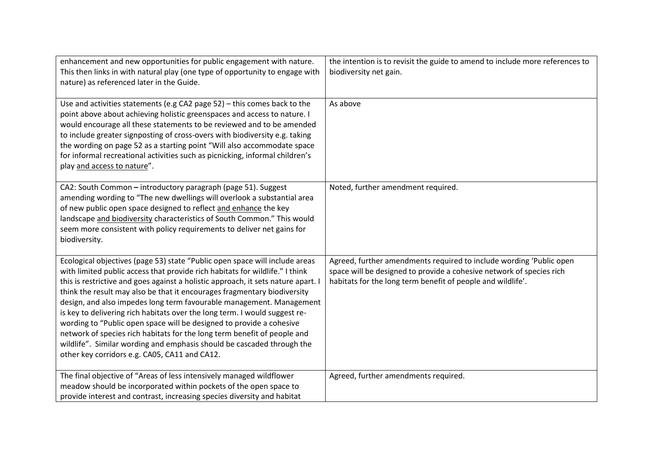| enhancement and new opportunities for public engagement with nature.<br>This then links in with natural play (one type of opportunity to engage with<br>nature) as referenced later in the Guide.                                                                                                                                                                                                                                                                                                                                                                                                                                                                                                                                                                 | the intention is to revisit the guide to amend to include more references to<br>biodiversity net gain.                                                                                                     |
|-------------------------------------------------------------------------------------------------------------------------------------------------------------------------------------------------------------------------------------------------------------------------------------------------------------------------------------------------------------------------------------------------------------------------------------------------------------------------------------------------------------------------------------------------------------------------------------------------------------------------------------------------------------------------------------------------------------------------------------------------------------------|------------------------------------------------------------------------------------------------------------------------------------------------------------------------------------------------------------|
| Use and activities statements (e.g CA2 page 52) - this comes back to the<br>point above about achieving holistic greenspaces and access to nature. I<br>would encourage all these statements to be reviewed and to be amended<br>to include greater signposting of cross-overs with biodiversity e.g. taking<br>the wording on page 52 as a starting point "Will also accommodate space<br>for informal recreational activities such as picnicking, informal children's<br>play and access to nature".                                                                                                                                                                                                                                                            | As above                                                                                                                                                                                                   |
| CA2: South Common - introductory paragraph (page 51). Suggest<br>amending wording to "The new dwellings will overlook a substantial area<br>of new public open space designed to reflect and enhance the key<br>landscape and biodiversity characteristics of South Common." This would<br>seem more consistent with policy requirements to deliver net gains for<br>biodiversity.                                                                                                                                                                                                                                                                                                                                                                                | Noted, further amendment required.                                                                                                                                                                         |
| Ecological objectives (page 53) state "Public open space will include areas<br>with limited public access that provide rich habitats for wildlife." I think<br>this is restrictive and goes against a holistic approach, it sets nature apart. I<br>think the result may also be that it encourages fragmentary biodiversity<br>design, and also impedes long term favourable management. Management<br>is key to delivering rich habitats over the long term. I would suggest re-<br>wording to "Public open space will be designed to provide a cohesive<br>network of species rich habitats for the long term benefit of people and<br>wildlife". Similar wording and emphasis should be cascaded through the<br>other key corridors e.g. CA05, CA11 and CA12. | Agreed, further amendments required to include wording 'Public open<br>space will be designed to provide a cohesive network of species rich<br>habitats for the long term benefit of people and wildlife'. |
| The final objective of "Areas of less intensively managed wildflower<br>meadow should be incorporated within pockets of the open space to<br>provide interest and contrast, increasing species diversity and habitat                                                                                                                                                                                                                                                                                                                                                                                                                                                                                                                                              | Agreed, further amendments required.                                                                                                                                                                       |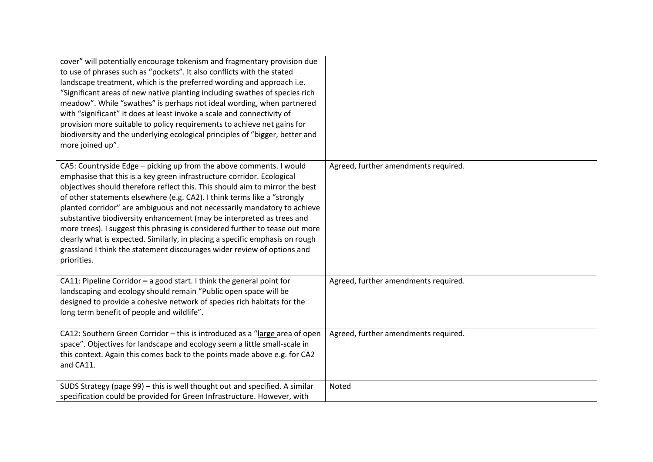| cover" will potentially encourage tokenism and fragmentary provision due<br>to use of phrases such as "pockets". It also conflicts with the stated<br>landscape treatment, which is the preferred wording and approach i.e.<br>"Significant areas of new native planting including swathes of species rich<br>meadow". While "swathes" is perhaps not ideal wording, when partnered<br>with "significant" it does at least invoke a scale and connectivity of<br>provision more suitable to policy requirements to achieve net gains for<br>biodiversity and the underlying ecological principles of "bigger, better and<br>more joined up".                                                                             |                                      |
|--------------------------------------------------------------------------------------------------------------------------------------------------------------------------------------------------------------------------------------------------------------------------------------------------------------------------------------------------------------------------------------------------------------------------------------------------------------------------------------------------------------------------------------------------------------------------------------------------------------------------------------------------------------------------------------------------------------------------|--------------------------------------|
| CA5: Countryside Edge - picking up from the above comments. I would<br>emphasise that this is a key green infrastructure corridor. Ecological<br>objectives should therefore reflect this. This should aim to mirror the best<br>of other statements elsewhere (e.g. CA2). I think terms like a "strongly<br>planted corridor" are ambiguous and not necessarily mandatory to achieve<br>substantive biodiversity enhancement (may be interpreted as trees and<br>more trees). I suggest this phrasing is considered further to tease out more<br>clearly what is expected. Similarly, in placing a specific emphasis on rough<br>grassland I think the statement discourages wider review of options and<br>priorities. | Agreed, further amendments required. |
| CA11: Pipeline Corridor - a good start. I think the general point for<br>landscaping and ecology should remain "Public open space will be<br>designed to provide a cohesive network of species rich habitats for the<br>long term benefit of people and wildlife".                                                                                                                                                                                                                                                                                                                                                                                                                                                       | Agreed, further amendments required. |
| CA12: Southern Green Corridor - this is introduced as a "large area of open<br>space". Objectives for landscape and ecology seem a little small-scale in<br>this context. Again this comes back to the points made above e.g. for CA2<br>and CA11.                                                                                                                                                                                                                                                                                                                                                                                                                                                                       | Agreed, further amendments required. |
| SUDS Strategy (page 99) - this is well thought out and specified. A similar<br>specification could be provided for Green Infrastructure. However, with                                                                                                                                                                                                                                                                                                                                                                                                                                                                                                                                                                   | Noted                                |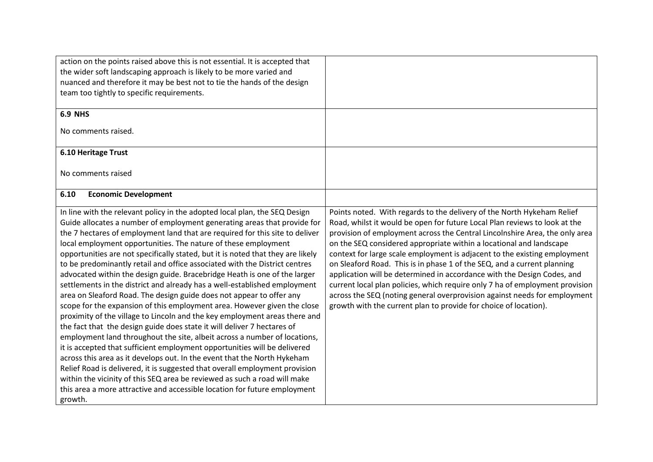| action on the points raised above this is not essential. It is accepted that                                                                                                                                                                                                                                                                                                                                                                                                                                                                                                                                                                                                                                                                                                                                                                                                                                                                                                                                                                                                                                                                                                                                                                                                                                                                                                                                                               |                                                                                                                                                                                                                                                                                                                                                                                                                                                                                                                                                                                                                                                                                                                                                                                |
|--------------------------------------------------------------------------------------------------------------------------------------------------------------------------------------------------------------------------------------------------------------------------------------------------------------------------------------------------------------------------------------------------------------------------------------------------------------------------------------------------------------------------------------------------------------------------------------------------------------------------------------------------------------------------------------------------------------------------------------------------------------------------------------------------------------------------------------------------------------------------------------------------------------------------------------------------------------------------------------------------------------------------------------------------------------------------------------------------------------------------------------------------------------------------------------------------------------------------------------------------------------------------------------------------------------------------------------------------------------------------------------------------------------------------------------------|--------------------------------------------------------------------------------------------------------------------------------------------------------------------------------------------------------------------------------------------------------------------------------------------------------------------------------------------------------------------------------------------------------------------------------------------------------------------------------------------------------------------------------------------------------------------------------------------------------------------------------------------------------------------------------------------------------------------------------------------------------------------------------|
| the wider soft landscaping approach is likely to be more varied and                                                                                                                                                                                                                                                                                                                                                                                                                                                                                                                                                                                                                                                                                                                                                                                                                                                                                                                                                                                                                                                                                                                                                                                                                                                                                                                                                                        |                                                                                                                                                                                                                                                                                                                                                                                                                                                                                                                                                                                                                                                                                                                                                                                |
| nuanced and therefore it may be best not to tie the hands of the design                                                                                                                                                                                                                                                                                                                                                                                                                                                                                                                                                                                                                                                                                                                                                                                                                                                                                                                                                                                                                                                                                                                                                                                                                                                                                                                                                                    |                                                                                                                                                                                                                                                                                                                                                                                                                                                                                                                                                                                                                                                                                                                                                                                |
| team too tightly to specific requirements.                                                                                                                                                                                                                                                                                                                                                                                                                                                                                                                                                                                                                                                                                                                                                                                                                                                                                                                                                                                                                                                                                                                                                                                                                                                                                                                                                                                                 |                                                                                                                                                                                                                                                                                                                                                                                                                                                                                                                                                                                                                                                                                                                                                                                |
|                                                                                                                                                                                                                                                                                                                                                                                                                                                                                                                                                                                                                                                                                                                                                                                                                                                                                                                                                                                                                                                                                                                                                                                                                                                                                                                                                                                                                                            |                                                                                                                                                                                                                                                                                                                                                                                                                                                                                                                                                                                                                                                                                                                                                                                |
| <b>6.9 NHS</b>                                                                                                                                                                                                                                                                                                                                                                                                                                                                                                                                                                                                                                                                                                                                                                                                                                                                                                                                                                                                                                                                                                                                                                                                                                                                                                                                                                                                                             |                                                                                                                                                                                                                                                                                                                                                                                                                                                                                                                                                                                                                                                                                                                                                                                |
| No comments raised.                                                                                                                                                                                                                                                                                                                                                                                                                                                                                                                                                                                                                                                                                                                                                                                                                                                                                                                                                                                                                                                                                                                                                                                                                                                                                                                                                                                                                        |                                                                                                                                                                                                                                                                                                                                                                                                                                                                                                                                                                                                                                                                                                                                                                                |
| 6.10 Heritage Trust                                                                                                                                                                                                                                                                                                                                                                                                                                                                                                                                                                                                                                                                                                                                                                                                                                                                                                                                                                                                                                                                                                                                                                                                                                                                                                                                                                                                                        |                                                                                                                                                                                                                                                                                                                                                                                                                                                                                                                                                                                                                                                                                                                                                                                |
| No comments raised                                                                                                                                                                                                                                                                                                                                                                                                                                                                                                                                                                                                                                                                                                                                                                                                                                                                                                                                                                                                                                                                                                                                                                                                                                                                                                                                                                                                                         |                                                                                                                                                                                                                                                                                                                                                                                                                                                                                                                                                                                                                                                                                                                                                                                |
| <b>Economic Development</b><br>6.10                                                                                                                                                                                                                                                                                                                                                                                                                                                                                                                                                                                                                                                                                                                                                                                                                                                                                                                                                                                                                                                                                                                                                                                                                                                                                                                                                                                                        |                                                                                                                                                                                                                                                                                                                                                                                                                                                                                                                                                                                                                                                                                                                                                                                |
| In line with the relevant policy in the adopted local plan, the SEQ Design<br>Guide allocates a number of employment generating areas that provide for<br>the 7 hectares of employment land that are required for this site to deliver<br>local employment opportunities. The nature of these employment<br>opportunities are not specifically stated, but it is noted that they are likely<br>to be predominantly retail and office associated with the District centres<br>advocated within the design guide. Bracebridge Heath is one of the larger<br>settlements in the district and already has a well-established employment<br>area on Sleaford Road. The design guide does not appear to offer any<br>scope for the expansion of this employment area. However given the close<br>proximity of the village to Lincoln and the key employment areas there and<br>the fact that the design guide does state it will deliver 7 hectares of<br>employment land throughout the site, albeit across a number of locations,<br>it is accepted that sufficient employment opportunities will be delivered<br>across this area as it develops out. In the event that the North Hykeham<br>Relief Road is delivered, it is suggested that overall employment provision<br>within the vicinity of this SEQ area be reviewed as such a road will make<br>this area a more attractive and accessible location for future employment<br>growth. | Points noted. With regards to the delivery of the North Hykeham Relief<br>Road, whilst it would be open for future Local Plan reviews to look at the<br>provision of employment across the Central Lincolnshire Area, the only area<br>on the SEQ considered appropriate within a locational and landscape<br>context for large scale employment is adjacent to the existing employment<br>on Sleaford Road. This is in phase 1 of the SEQ, and a current planning<br>application will be determined in accordance with the Design Codes, and<br>current local plan policies, which require only 7 ha of employment provision<br>across the SEQ (noting general overprovision against needs for employment<br>growth with the current plan to provide for choice of location). |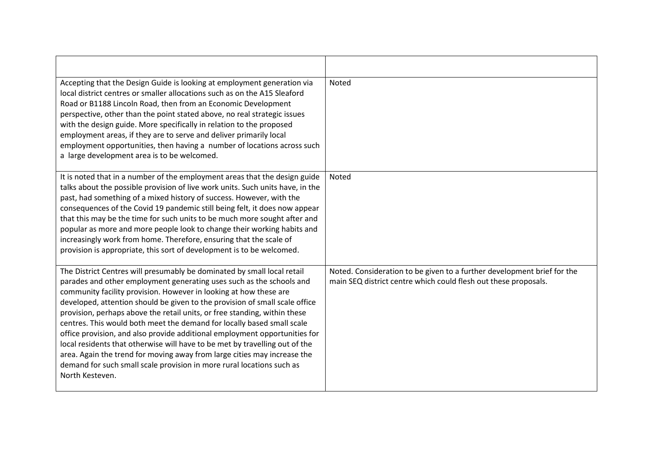| Accepting that the Design Guide is looking at employment generation via<br>local district centres or smaller allocations such as on the A15 Sleaford<br>Road or B1188 Lincoln Road, then from an Economic Development<br>perspective, other than the point stated above, no real strategic issues<br>with the design guide. More specifically in relation to the proposed<br>employment areas, if they are to serve and deliver primarily local<br>employment opportunities, then having a number of locations across such<br>a large development area is to be welcomed.                                                                                                                                                                                                                       | <b>Noted</b>                                                                                                                               |
|-------------------------------------------------------------------------------------------------------------------------------------------------------------------------------------------------------------------------------------------------------------------------------------------------------------------------------------------------------------------------------------------------------------------------------------------------------------------------------------------------------------------------------------------------------------------------------------------------------------------------------------------------------------------------------------------------------------------------------------------------------------------------------------------------|--------------------------------------------------------------------------------------------------------------------------------------------|
| It is noted that in a number of the employment areas that the design guide<br>talks about the possible provision of live work units. Such units have, in the<br>past, had something of a mixed history of success. However, with the<br>consequences of the Covid 19 pandemic still being felt, it does now appear<br>that this may be the time for such units to be much more sought after and<br>popular as more and more people look to change their working habits and<br>increasingly work from home. Therefore, ensuring that the scale of<br>provision is appropriate, this sort of development is to be welcomed.                                                                                                                                                                       | <b>Noted</b>                                                                                                                               |
| The District Centres will presumably be dominated by small local retail<br>parades and other employment generating uses such as the schools and<br>community facility provision. However in looking at how these are<br>developed, attention should be given to the provision of small scale office<br>provision, perhaps above the retail units, or free standing, within these<br>centres. This would both meet the demand for locally based small scale<br>office provision, and also provide additional employment opportunities for<br>local residents that otherwise will have to be met by travelling out of the<br>area. Again the trend for moving away from large cities may increase the<br>demand for such small scale provision in more rural locations such as<br>North Kesteven. | Noted. Consideration to be given to a further development brief for the<br>main SEQ district centre which could flesh out these proposals. |